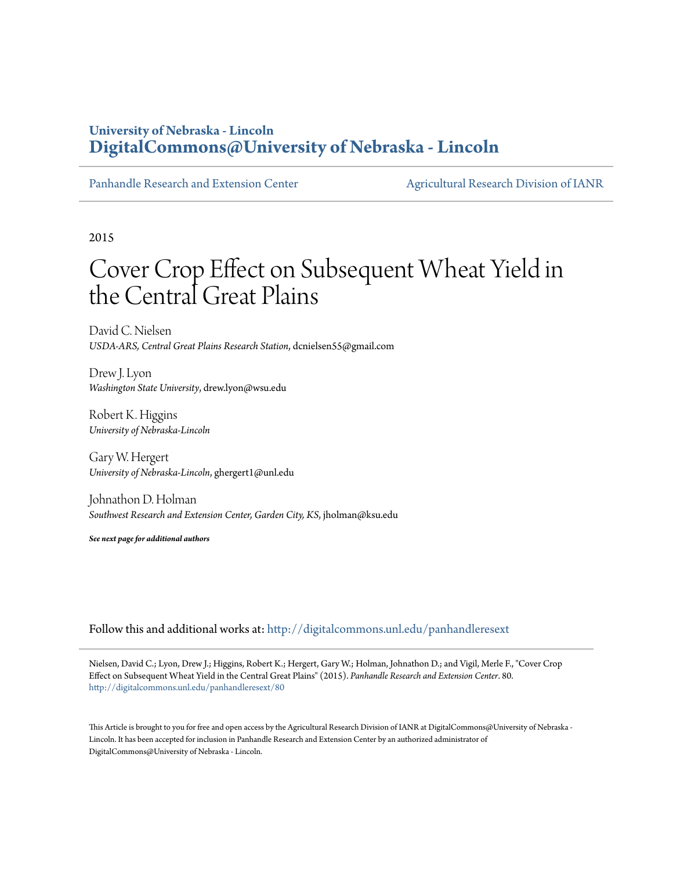# **University of Nebraska - Lincoln [DigitalCommons@University of Nebraska - Lincoln](http://digitalcommons.unl.edu?utm_source=digitalcommons.unl.edu%2Fpanhandleresext%2F80&utm_medium=PDF&utm_campaign=PDFCoverPages)**

[Panhandle Research and Extension Center](http://digitalcommons.unl.edu/panhandleresext?utm_source=digitalcommons.unl.edu%2Fpanhandleresext%2F80&utm_medium=PDF&utm_campaign=PDFCoverPages) [Agricultural Research Division of IANR](http://digitalcommons.unl.edu/ianr_agresearchdivision?utm_source=digitalcommons.unl.edu%2Fpanhandleresext%2F80&utm_medium=PDF&utm_campaign=PDFCoverPages)

2015

# Cover Crop Effect on Subsequent Wheat Yield in the Central Great Plains

David C. Nielsen *USDA-ARS, Central Great Plains Research Station*, dcnielsen55@gmail.com

Drew J. Lyon *Washington State University*, drew.lyon@wsu.edu

Robert K. Higgins *University of Nebraska-Lincoln*

Gary W. Hergert *University of Nebraska-Lincoln*, ghergert1@unl.edu

Johnathon D. Holman *Southwest Research and Extension Center, Garden City, KS*, jholman@ksu.edu

*See next page for additional authors*

Follow this and additional works at: [http://digitalcommons.unl.edu/panhandleresext](http://digitalcommons.unl.edu/panhandleresext?utm_source=digitalcommons.unl.edu%2Fpanhandleresext%2F80&utm_medium=PDF&utm_campaign=PDFCoverPages)

Nielsen, David C.; Lyon, Drew J.; Higgins, Robert K.; Hergert, Gary W.; Holman, Johnathon D.; and Vigil, Merle F., "Cover Crop Effect on Subsequent Wheat Yield in the Central Great Plains" (2015). *Panhandle Research and Extension Center*. 80. [http://digitalcommons.unl.edu/panhandleresext/80](http://digitalcommons.unl.edu/panhandleresext/80?utm_source=digitalcommons.unl.edu%2Fpanhandleresext%2F80&utm_medium=PDF&utm_campaign=PDFCoverPages)

This Article is brought to you for free and open access by the Agricultural Research Division of IANR at DigitalCommons@University of Nebraska - Lincoln. It has been accepted for inclusion in Panhandle Research and Extension Center by an authorized administrator of DigitalCommons@University of Nebraska - Lincoln.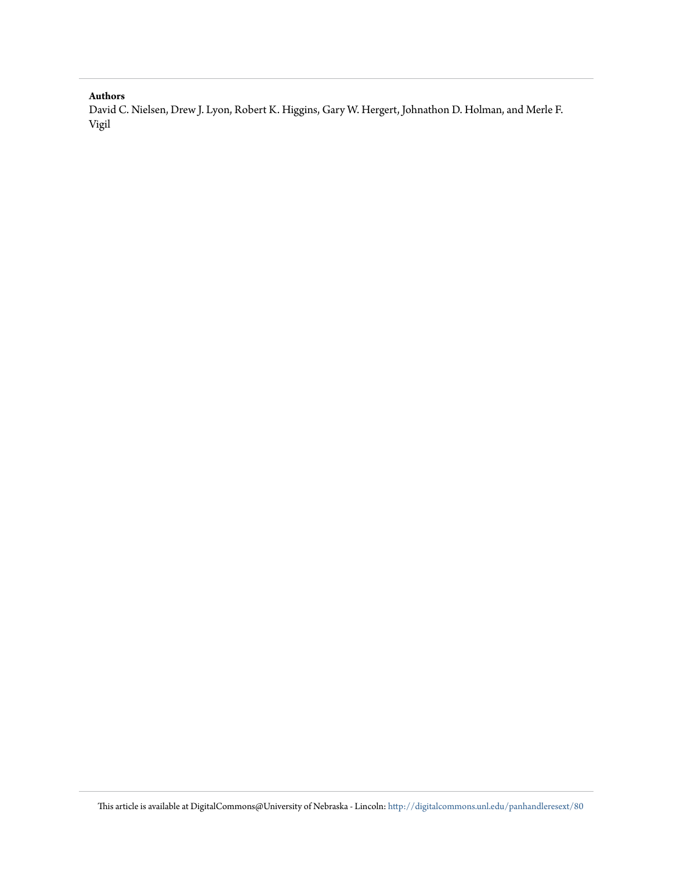### **Authors**

David C. Nielsen, Drew J. Lyon, Robert K. Higgins, Gary W. Hergert, Johnathon D. Holman, and Merle F. Vigil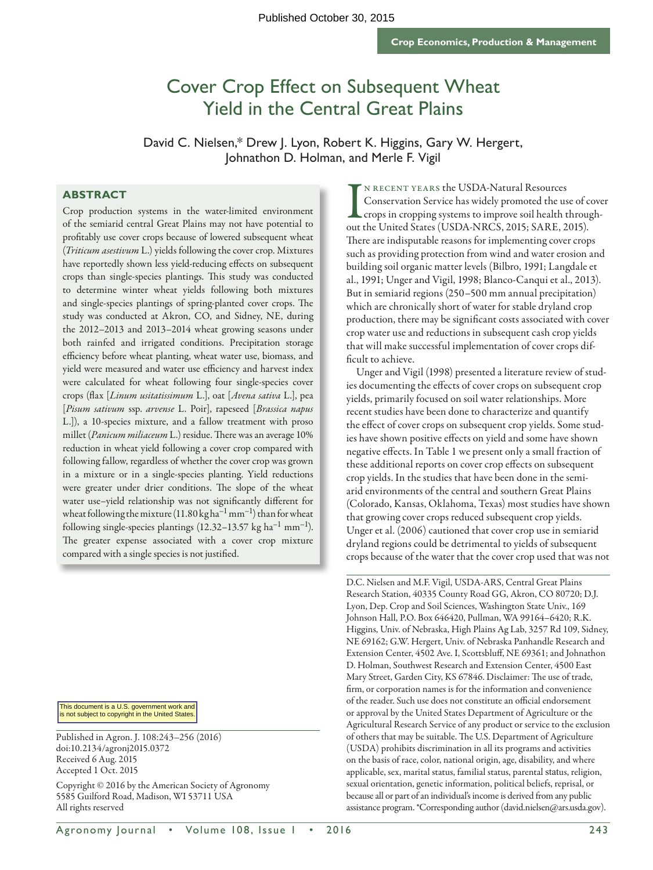# Cover Crop Effect on Subsequent Wheat Yield in the Central Great Plains

David C. Nielsen,\* Drew J. Lyon, Robert K. Higgins, Gary W. Hergert, Johnathon D. Holman, and Merle F. Vigil

# **ABSTRACT**

Crop production systems in the water-limited environment of the semiarid central Great Plains may not have potential to profitably use cover crops because of lowered subsequent wheat (*Triticum asestivum* L.) yields following the cover crop. Mixtures have reportedly shown less yield-reducing effects on subsequent crops than single-species plantings. This study was conducted to determine winter wheat yields following both mixtures and single-species plantings of spring-planted cover crops. The study was conducted at Akron, CO, and Sidney, NE, during the 2012–2013 and 2013–2014 wheat growing seasons under both rainfed and irrigated conditions. Precipitation storage efficiency before wheat planting, wheat water use, biomass, and yield were measured and water use efficiency and harvest index were calculated for wheat following four single-species cover crops (flax [*Linum usitatissimum* L.], oat [*Avena sativa* L.], pea [*Pisum sativum* ssp. *arvense* L. Poir], rapeseed [*Brassica napus* L.]), a 10-species mixture, and a fallow treatment with proso millet (*Panicum miliaceum* L.) residue. There was an average 10% reduction in wheat yield following a cover crop compared with following fallow, regardless of whether the cover crop was grown in a mixture or in a single-species planting. Yield reductions were greater under drier conditions. The slope of the wheat water use–yield relationship was not significantly different for wheat following the mixture  $(11.80 \text{ kg ha}^{-1} \text{ mm}^{-1})$  than for wheat following single-species plantings  $(12.32-13.57 \text{ kg ha}^{-1} \text{ mm}^{-1})$ . The greater expense associated with a cover crop mixture compared with a single species is not justified.

This document is a U.S. government work and is not subject to copyright in the United States.

Published in Agron. J. 108:243–256 (2016) doi:10.2134/agronj2015.0372 Received 6 Aug. 2015 Accepted 1 Oct. 2015

Copyright © 2016 by the American Society of Agronomy 5585 Guilford Road, Madison, WI 53711 USA All rights reserved

IN RECENT YEARS the USDA-Natural Resources<br>Conservation Service has widely promoted the use of c<br>crops in cropping systems to improve soil health throug<br>out the United States (USDA-NRCS, 2015; SARE, 2015). n recent years the USDA-Natural Resources Conservation Service has widely promoted the use of cover crops in cropping systems to improve soil health through-There are indisputable reasons for implementing cover crops such as providing protection from wind and water erosion and building soil organic matter levels (Bilbro, 1991; Langdale et al., 1991; Unger and Vigil, 1998; Blanco-Canqui et al., 2013). But in semiarid regions (250–500 mm annual precipitation) which are chronically short of water for stable dryland crop production, there may be significant costs associated with cover crop water use and reductions in subsequent cash crop yields that will make successful implementation of cover crops difficult to achieve.

Unger and Vigil (1998) presented a literature review of studies documenting the effects of cover crops on subsequent crop yields, primarily focused on soil water relationships. More recent studies have been done to characterize and quantify the effect of cover crops on subsequent crop yields. Some studies have shown positive effects on yield and some have shown negative effects. In Table 1 we present only a small fraction of these additional reports on cover crop effects on subsequent crop yields. In the studies that have been done in the semiarid environments of the central and southern Great Plains (Colorado, Kansas, Oklahoma, Texas) most studies have shown that growing cover crops reduced subsequent crop yields. Unger et al. (2006) cautioned that cover crop use in semiarid dryland regions could be detrimental to yields of subsequent crops because of the water that the cover crop used that was not

D.C. Nielsen and M.F. Vigil, USDA-ARS, Central Great Plains Research Station, 40335 County Road GG, Akron, CO 80720; D.J. Lyon, Dep. Crop and Soil Sciences, Washington State Univ., 169 Johnson Hall, P.O. Box 646420, Pullman, WA 99164–6420; R.K. Higgins, Univ. of Nebraska, High Plains Ag Lab, 3257 Rd 109, Sidney, NE 69162; G.W. Hergert, Univ. of Nebraska Panhandle Research and Extension Center, 4502 Ave. I, Scottsbluff, NE 69361; and Johnathon D. Holman, Southwest Research and Extension Center, 4500 East Mary Street, Garden City, KS 67846. Disclaimer: The use of trade, firm, or corporation names is for the information and convenience of the reader. Such use does not constitute an official endorsement or approval by the United States Department of Agriculture or the Agricultural Research Service of any product or service to the exclusion of others that may be suitable. The U.S. Department of Agriculture (USDA) prohibits discrimination in all its programs and activities on the basis of race, color, national origin, age, disability, and where applicable, sex, marital status, familial status, parental status, religion, sexual orientation, genetic information, political beliefs, reprisal, or because all or part of an individual's income is derived from any public assistance program. \*Corresponding author (david.nielsen@ars.usda.gov).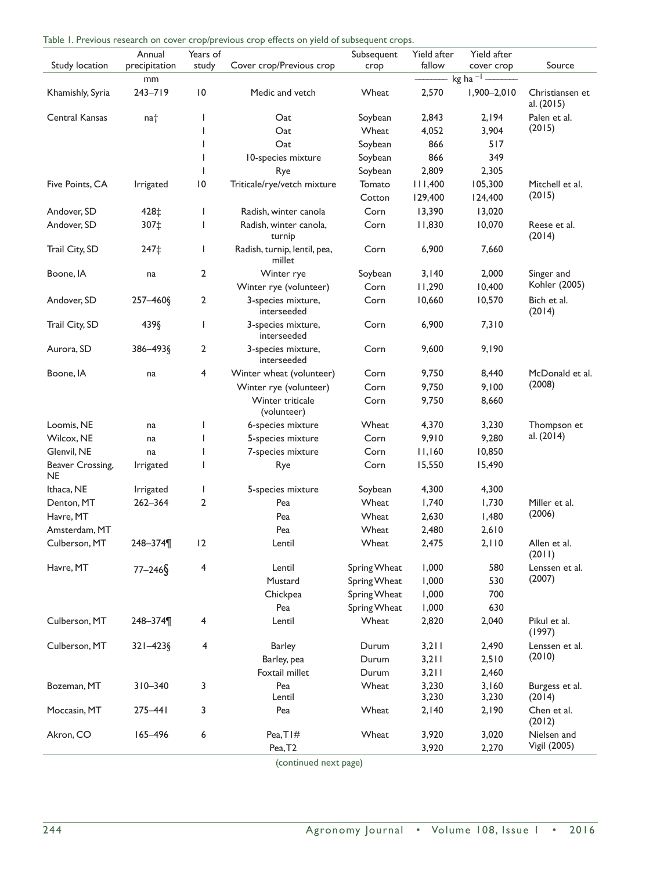|  |  |  |  |  | Table 1. Previous research on cover crop/previous crop effects on yield of subsequent crops. |  |  |  |  |
|--|--|--|--|--|----------------------------------------------------------------------------------------------|--|--|--|--|
|--|--|--|--|--|----------------------------------------------------------------------------------------------|--|--|--|--|

|                         |                         |                   | able 1: 1 lettous research on cover eropy previous erop encees on yield or subsequent erops. |                    |                       |                           |                               |
|-------------------------|-------------------------|-------------------|----------------------------------------------------------------------------------------------|--------------------|-----------------------|---------------------------|-------------------------------|
| Study location          | Annual<br>precipitation | Years of<br>study | Cover crop/Previous crop                                                                     | Subsequent<br>crop | Yield after<br>fallow | Yield after<br>cover crop | Source                        |
|                         | mm                      |                   |                                                                                              |                    |                       | - kg ha <sup>– I</sup> –  |                               |
| Khamishly, Syria        | $243 - 719$             | 10                | Medic and vetch                                                                              | Wheat              | 2,570                 | 1,900-2,010               | Christiansen et<br>al. (2015) |
| <b>Central Kansas</b>   | na <sup>+</sup>         | ı                 | Oat                                                                                          | Soybean            | 2,843                 | 2,194                     | Palen et al.                  |
|                         |                         |                   | Oat                                                                                          | Wheat              | 4,052                 | 3,904                     | (2015)                        |
|                         |                         |                   | Oat                                                                                          | Soybean            | 866                   | 517                       |                               |
|                         |                         |                   | 10-species mixture                                                                           | Soybean            | 866                   | 349                       |                               |
|                         |                         |                   | Rye                                                                                          | Soybean            | 2,809                 | 2,305                     |                               |
| Five Points, CA         | Irrigated               | $\overline{10}$   | Triticale/rye/vetch mixture                                                                  | Tomato             | 111,400               | 105,300                   | Mitchell et al.               |
|                         |                         |                   |                                                                                              | Cotton             | 129,400               | 124,400                   | (2015)                        |
| Andover, SD             | 428‡                    | $\mathbf{I}$      | Radish, winter canola                                                                        | Corn               | 13,390                | 13,020                    |                               |
| Andover, SD             | 307‡                    | ı                 | Radish, winter canola,<br>turnip                                                             | Corn               | 11,830                | 10,070                    | Reese et al.<br>(2014)        |
| Trail City, SD          | $247+$                  | $\mathbf{I}$      | Radish, turnip, lentil, pea,<br>millet                                                       | Corn               | 6,900                 | 7,660                     |                               |
| Boone, IA               | na                      | $\overline{2}$    | Winter rye                                                                                   | Soybean            | 3,140                 | 2,000                     | Singer and                    |
|                         |                         |                   | Winter rye (volunteer)                                                                       | Corn               | 11,290                | 10,400                    | Kohler (2005)                 |
| Andover, SD             | 257-460§                | $\overline{2}$    | 3-species mixture,<br>interseeded                                                            | Corn               | 10,660                | 10,570                    | Bich et al.<br>(2014)         |
| Trail City, SD          | 439§                    | 1                 | 3-species mixture,<br>interseeded                                                            | Corn               | 6,900                 | 7,310                     |                               |
| Aurora, SD              | 386-493§                | 2                 | 3-species mixture,<br>interseeded                                                            | Corn               | 9,600                 | 9,190                     |                               |
| Boone, IA               | na                      | 4                 | Winter wheat (volunteer)                                                                     | Corn               | 9,750                 | 8,440                     | McDonald et al.               |
|                         |                         |                   | Winter rye (volunteer)                                                                       | Corn               | 9,750                 | 9,100                     | (2008)                        |
|                         |                         |                   | Winter triticale<br>(volunteer)                                                              | Corn               | 9,750                 | 8,660                     |                               |
| Loomis, NE              | na                      |                   | 6-species mixture                                                                            | Wheat              | 4,370                 | 3,230                     | Thompson et                   |
| Wilcox, NE              | na                      |                   | 5-species mixture                                                                            | Corn               | 9,910                 | 9,280                     | al. (2014)                    |
| Glenvil, NE             | na                      |                   | 7-species mixture                                                                            | Corn               | 11,160                | 10,850                    |                               |
| Beaver Crossing,<br>NE. | Irrigated               |                   | Rye                                                                                          | Corn               | 15,550                | 15,490                    |                               |
| Ithaca, NE              | Irrigated               | $\mathbf{I}$      | 5-species mixture                                                                            | Soybean            | 4,300                 | 4,300                     |                               |
| Denton, MT              | $262 - 364$             | 2                 | Pea                                                                                          | Wheat              | 1,740                 | 1,730                     | Miller et al.                 |
| Havre, MT               |                         |                   | Pea                                                                                          | Wheat              | 2,630                 | 1,480                     | (2006)                        |
| Amsterdam, MT           |                         |                   | Pea                                                                                          | Wheat              | 2,480                 | 2,610                     |                               |
| Culberson, MT           | 248-374¶                | 12                | Lentil                                                                                       | Wheat              | 2,475                 | 2,110                     | Allen et al.<br>(2011)        |
| Havre, MT               | $77 - 246$              | 4                 | Lentil                                                                                       | Spring Wheat       | 1,000                 | 580                       | Lenssen et al.                |
|                         |                         |                   | Mustard                                                                                      | Spring Wheat       | 1,000                 | 530                       | (2007)                        |
|                         |                         |                   | Chickpea                                                                                     | Spring Wheat       | 1,000                 | 700                       |                               |
|                         |                         |                   | Pea                                                                                          | Spring Wheat       | 1,000                 | 630                       |                               |
| Culberson, MT           | 248-374¶                | 4                 | Lentil                                                                                       | Wheat              | 2,820                 | 2,040                     | Pikul et al.<br>(1997)        |
| Culberson, MT           | $321 - 423$             | 4                 | <b>Barley</b>                                                                                | Durum              | 3,211                 | 2,490                     | Lenssen et al.                |
|                         |                         |                   | Barley, pea                                                                                  | Durum              | 3,211                 | 2,510                     | (2010)                        |
|                         |                         |                   | Foxtail millet                                                                               | Durum              | 3,211                 | 2,460                     |                               |
| Bozeman, MT             | 310-340                 | 3                 | Pea<br>Lentil                                                                                | Wheat              | 3,230<br>3,230        | 3,160<br>3,230            | Burgess et al.<br>(2014)      |
| Moccasin, MT            | 275-441                 | 3                 | Pea                                                                                          | Wheat              | 2,140                 | 2,190                     | Chen et al.<br>(2012)         |
| Akron, CO               | 165-496                 | 6                 | Pea, TI#                                                                                     | Wheat              | 3,920                 | 3,020                     | Nielsen and<br>Vigil (2005)   |
|                         |                         |                   | Pea, T <sub>2</sub>                                                                          |                    | 3,920                 | 2,270                     |                               |

(continued next page)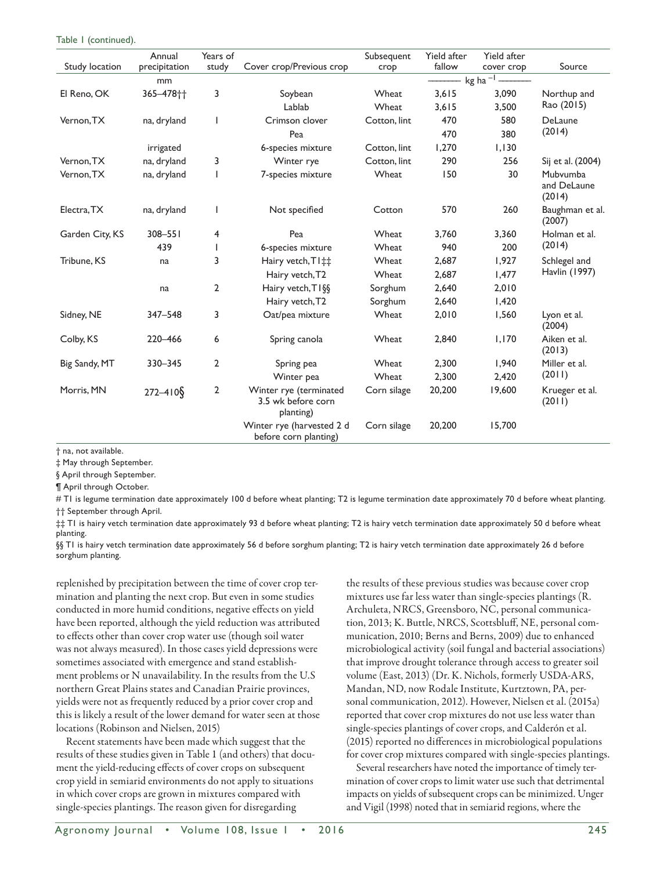| Study location  | Annual<br>precipitation | Years of<br>study | Cover crop/Previous crop                                  | Subsequent<br>crop | Yield after<br>fallow | Yield after<br>cover crop | Source                            |  |
|-----------------|-------------------------|-------------------|-----------------------------------------------------------|--------------------|-----------------------|---------------------------|-----------------------------------|--|
|                 | mm                      |                   |                                                           |                    |                       | $kg$ ha $^{-1}$ -         |                                   |  |
| El Reno, OK     | 365-478++               | 3                 | Soybean                                                   | Wheat              | 3,615                 | 3,090                     | Northup and                       |  |
|                 |                         |                   | Lablab                                                    | Wheat              | 3,615                 | 3,500                     | Rao (2015)                        |  |
| Vernon, TX      | na, dryland             | <sup>1</sup>      | Crimson clover                                            | Cotton, lint       | 470                   | 580                       | DeLaune                           |  |
|                 |                         |                   | Pea                                                       |                    | 380<br>470            |                           | (2014)                            |  |
|                 | irrigated               |                   | 6-species mixture                                         | Cotton, lint       | 1,270                 | 1,130                     |                                   |  |
| Vernon, TX      | na, dryland             | 3                 | Winter rye                                                | Cotton, lint       | 290                   | 256                       | Sij et al. (2004)                 |  |
| Vernon, TX      | na, dryland             | I                 | 7-species mixture                                         | Wheat              | 150                   | 30                        | Mubvumba<br>and DeLaune<br>(2014) |  |
| Electra, TX     | na, dryland             |                   | Not specified                                             | Cotton             | 570                   | 260                       | Baughman et al.<br>(2007)         |  |
| Garden City, KS | $308 - 551$             | 4                 | Pea                                                       | Wheat              | 3,760                 | 3,360                     | Holman et al.                     |  |
|                 | 439                     |                   | 6-species mixture                                         | Wheat              | 940                   | 200                       | (2014)                            |  |
| Tribune, KS     | na                      | 3                 | Hairy vetch, T1 #                                         | Wheat              | 2,687                 | 1,927                     | Schlegel and                      |  |
|                 |                         |                   | Hairy vetch, T2                                           | Wheat              | 2,687                 | 1,477                     | Havlin (1997)                     |  |
|                 | na                      | 2                 | Hairy vetch, T1 §§                                        | Sorghum            | 2,640                 | 2,010                     |                                   |  |
|                 |                         |                   | Hairy vetch, T2                                           | Sorghum            | 2,640                 | 1,420                     |                                   |  |
| Sidney, NE      | 347-548                 | 3                 | Oat/pea mixture                                           | Wheat              | 2,010                 | 1,560                     | Lyon et al.<br>(2004)             |  |
| Colby, KS       | 220-466                 | 6                 | Spring canola                                             | Wheat              | 2,840                 | 1,170                     | Aiken et al.<br>(2013)            |  |
| Big Sandy, MT   | 330-345                 | 2                 | Spring pea                                                | Wheat              | 2,300                 | 1,940                     | Miller et al.                     |  |
|                 |                         |                   | Winter pea                                                | Wheat              | 2,300                 | 2,420                     | (2011)                            |  |
| Morris, MN      | $272 - 410\frac{5}{9}$  | 2                 | Winter rye (terminated<br>3.5 wk before corn<br>planting) | Corn silage        | 20,200                | 19,600                    | Krueger et al.<br>(2011)          |  |
|                 |                         |                   | Winter rye (harvested 2 d<br>before corn planting)        | Corn silage        | 20,200                | 15,700                    |                                   |  |

† na, not available.

‡ May through September.

§ April through September.

¶ April through October.

# T1 is legume termination date approximately 100 d before wheat planting; T2 is legume termination date approximately 70 d before wheat planting. †† September through April.

‡‡ T1 is hairy vetch termination date approximately 93 d before wheat planting; T2 is hairy vetch termination date approximately 50 d before wheat planting.

§§ T1 is hairy vetch termination date approximately 56 d before sorghum planting; T2 is hairy vetch termination date approximately 26 d before sorghum planting.

replenished by precipitation between the time of cover crop termination and planting the next crop. But even in some studies conducted in more humid conditions, negative effects on yield have been reported, although the yield reduction was attributed to effects other than cover crop water use (though soil water was not always measured). In those cases yield depressions were sometimes associated with emergence and stand establishment problems or N unavailability. In the results from the U.S northern Great Plains states and Canadian Prairie provinces, yields were not as frequently reduced by a prior cover crop and this is likely a result of the lower demand for water seen at those locations (Robinson and Nielsen, 2015)

Recent statements have been made which suggest that the results of these studies given in Table 1 (and others) that document the yield-reducing effects of cover crops on subsequent crop yield in semiarid environments do not apply to situations in which cover crops are grown in mixtures compared with single-species plantings. The reason given for disregarding

the results of these previous studies was because cover crop mixtures use far less water than single-species plantings (R. Archuleta, NRCS, Greensboro, NC, personal communication, 2013; K. Buttle, NRCS, Scottsbluff, NE, personal communication, 2010; Berns and Berns, 2009) due to enhanced microbiological activity (soil fungal and bacterial associations) that improve drought tolerance through access to greater soil volume (East, 2013) (Dr. K. Nichols, formerly USDA-ARS, Mandan, ND, now Rodale Institute, Kurtztown, PA, personal communication, 2012). However, Nielsen et al. (2015a) reported that cover crop mixtures do not use less water than single-species plantings of cover crops, and Calderón et al. (2015) reported no differences in microbiological populations for cover crop mixtures compared with single-species plantings.

Several researchers have noted the importance of timely termination of cover crops to limit water use such that detrimental impacts on yields of subsequent crops can be minimized. Unger and Vigil (1998) noted that in semiarid regions, where the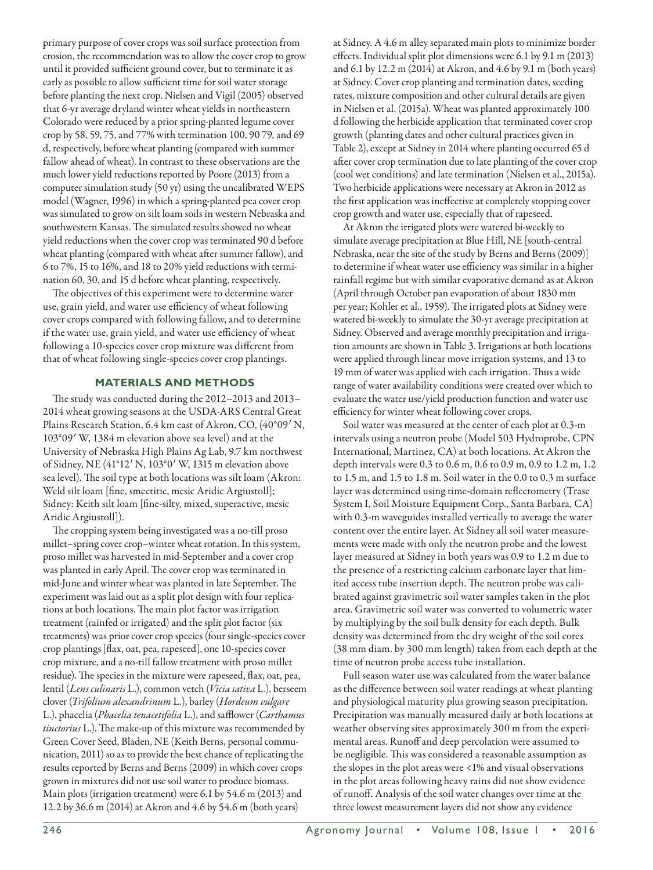primary purpose of cover crops was soil surface protection from erosion, the recommendation was to allow the cover crop to grow until it provided sufficient ground cover, but to terminate it as early as possible to allow sufficient time for soil water storage before planting the next crop. Nielsen and Vigil (2005) observed that 6-yr average dryland winter wheat yields in northeastern Colorado were reduced by a prior spring-planted legume cover crop by 58, 59, 75, and 77% with termination 100, 90 79, and 69 d, respectively, before wheat planting (compared with summer fallow ahead of wheat). In contrast to these observations are the much lower yield reductions reported by Poore (2013) from a computer simulation study (50 yr) using the uncalibrated WEPS model (Wagner, 1996) in which a spring-planted pea cover crop was simulated to grow on silt loam soils in western Nebraska and southwestern Kansas. The simulated results showed no wheat yield reductions when the cover crop was terminated 90 d before wheat planting (compared with wheat after summer fallow), and 6 to 7%, 15 to 16%, and 18 to 20% yield reductions with termination 60, 30, and 15 d before wheat planting, respectively.

The objectives of this experiment were to determine water use, grain yield, and water use efficiency of wheat following cover crops compared with following fallow, and to determine if the water use, grain yield, and water use efficiency of wheat following a 10-species cover crop mixture was different from that of wheat following single-species cover crop plantings.

# **MATERIALS AND METHODS**

The study was conducted during the 2012–2013 and 2013– 2014 wheat growing seasons at the USDA-ARS Central Great Plains Research Station, 6.4 km east of Akron, CO, (40°09' N, 103°09¢ W, 1384 m elevation above sea level) and at the University of Nebraska High Plains Ag Lab, 9.7 km northwest of Sidney, NE (41°12' N, 103°0' W, 1315 m elevation above sea level). The soil type at both locations was silt loam (Akron: Weld silt loam [fine, smectitic, mesic Aridic Argiustoll]; Sidney: Keith silt loam [fine-silty, mixed, superactive, mesic Aridic Argiustoll]).

The cropping system being investigated was a no-till proso millet–spring cover crop–winter wheat rotation. In this system, proso millet was harvested in mid-September and a cover crop was planted in early April. The cover crop was terminated in mid-June and winter wheat was planted in late September. The experiment was laid out as a split plot design with four replications at both locations. The main plot factor was irrigation treatment (rainfed or irrigated) and the split plot factor (six treatments) was prior cover crop species (four single-species cover crop plantings [flax, oat, pea, rapeseed], one 10-species cover crop mixture, and a no-till fallow treatment with proso millet residue). The species in the mixture were rapeseed, flax, oat, pea, lentil (*Lens culinaris* L.), common vetch (*Vicia sativa* L.), berseem clover (*Trifolium alexandrinum* L.), barley (*Hordeum vulgare* L.), phacelia (*Phacelia tenacetifolia* L.), and safflower (*Carthamus tinctorius* L.). The make-up of this mixture was recommended by Green Cover Seed, Bladen, NE (Keith Berns, personal communication, 2011) so as to provide the best chance of replicating the results reported by Berns and Berns (2009) in which cover crops grown in mixtures did not use soil water to produce biomass. Main plots (irrigation treatment) were 6.1 by 54.6 m (2013) and 12.2 by 36.6 m (2014) at Akron and 4.6 by 54.6 m (both years)

at Sidney. A 4.6 m alley separated main plots to minimize border effects. Individual split plot dimensions were 6.1 by 9.1 m (2013) and 6.1 by 12.2 m (2014) at Akron, and 4.6 by 9.1 m (both years) at Sidney. Cover crop planting and termination dates, seeding rates, mixture composition and other cultural details are given in Nielsen et al. (2015a). Wheat was planted approximately 100 d following the herbicide application that terminated cover crop growth (planting dates and other cultural practices given in Table 2), except at Sidney in 2014 where planting occurred 65 d after cover crop termination due to late planting of the cover crop (cool wet conditions) and late termination (Nielsen et al., 2015a). Two herbicide applications were necessary at Akron in 2012 as the first application was ineffective at completely stopping cover crop growth and water use, especially that of rapeseed.

At Akron the irrigated plots were watered bi-weekly to simulate average precipitation at Blue Hill, NE [south-central Nebraska, near the site of the study by Berns and Berns (2009)] to determine if wheat water use efficiency was similar in a higher rainfall regime but with similar evaporative demand as at Akron (April through October pan evaporation of about 1830 mm per year; Kohler et al., 1959). The irrigated plots at Sidney were watered bi-weekly to simulate the 30-yr average precipitation at Sidney. Observed and average monthly precipitation and irrigation amounts are shown in Table 3. Irrigations at both locations were applied through linear move irrigation systems, and 13 to 19 mm of water was applied with each irrigation. Thus a wide range of water availability conditions were created over which to evaluate the water use/yield production function and water use efficiency for winter wheat following cover crops.

Soil water was measured at the center of each plot at 0.3-m intervals using a neutron probe (Model 503 Hydroprobe, CPN International, Martinez, CA) at both locations. At Akron the depth intervals were 0.3 to 0.6 m, 0.6 to 0.9 m, 0.9 to 1.2 m, 1.2 to 1.5 m, and 1.5 to 1.8 m. Soil water in the 0.0 to 0.3 m surface layer was determined using time-domain reflectometry (Trase System I, Soil Moisture Equipment Corp., Santa Barbara, CA) with 0.3-m waveguides installed vertically to average the water content over the entire layer. At Sidney all soil water measurements were made with only the neutron probe and the lowest layer measured at Sidney in both years was 0.9 to 1.2 m due to the presence of a restricting calcium carbonate layer that limited access tube insertion depth. The neutron probe was calibrated against gravimetric soil water samples taken in the plot area. Gravimetric soil water was converted to volumetric water by multiplying by the soil bulk density for each depth. Bulk density was determined from the dry weight of the soil cores (38 mm diam. by 300 mm length) taken from each depth at the time of neutron probe access tube installation.

Full season water use was calculated from the water balance as the difference between soil water readings at wheat planting and physiological maturity plus growing season precipitation. Precipitation was manually measured daily at both locations at weather observing sites approximately 300 m from the experimental areas. Runoff and deep percolation were assumed to be negligible. This was considered a reasonable assumption as the slopes in the plot areas were <1% and visual observations in the plot areas following heavy rains did not show evidence of runoff. Analysis of the soil water changes over time at the three lowest measurement layers did not show any evidence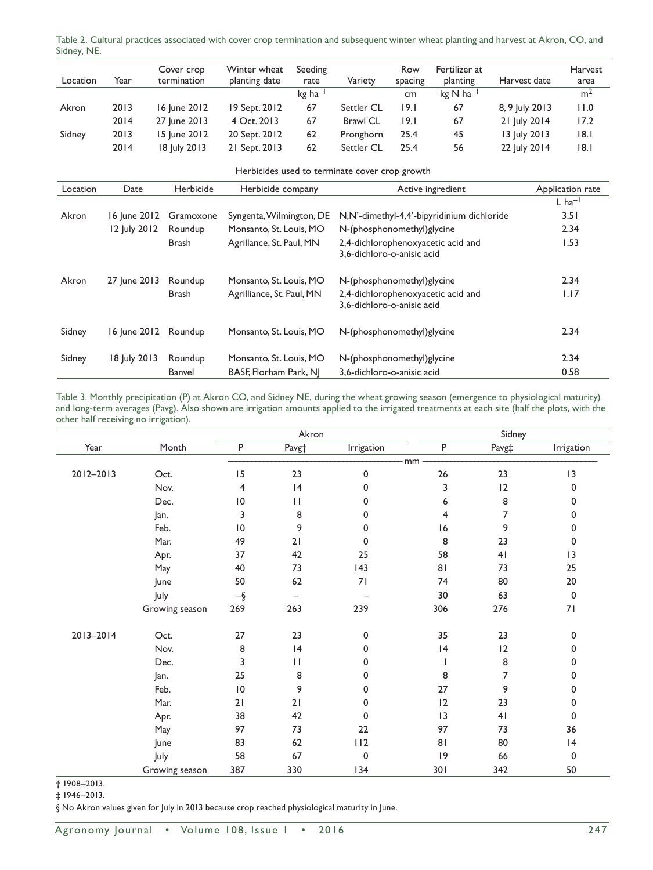Table 2. Cultural practices associated with cover crop termination and subsequent winter wheat planting and harvest at Akron, CO, and Sidney, NE.

| Location                                       | Year         | Cover crop<br>termination | Winter wheat<br>planting date | Seeding<br>rate            | Variety                                                          | Row<br>spacing             | Fertilizer at<br>planting                  | Harvest date         | <b>Harvest</b><br>area |  |  |
|------------------------------------------------|--------------|---------------------------|-------------------------------|----------------------------|------------------------------------------------------------------|----------------------------|--------------------------------------------|----------------------|------------------------|--|--|
|                                                |              |                           |                               | $kg$ ha <sup>-1</sup>      |                                                                  | cm                         | $kg \text{ N}$ ha <sup>-1</sup>            |                      | m <sup>2</sup>         |  |  |
| Akron                                          | 2013         | 16 June 2012              | 19 Sept. 2012<br>67           |                            | Settler CL                                                       | 19.1                       | 67                                         | 8, 9 July 2013       | 11.0                   |  |  |
|                                                | 2014         | 27 June 2013              | 4 Oct. 2013                   | 67                         | <b>Brawl CL</b>                                                  | 19.1                       | 67                                         | 21 July 2014         | 17.2                   |  |  |
| Sidney                                         | 2013         | 15 June 2012              | 20 Sept. 2012                 | 62                         | Pronghorn                                                        | 25.4                       | 45                                         | 13 July 2013         | 8.1                    |  |  |
|                                                | 2014         | 18 July 2013              | 21 Sept. 2013                 | 62                         | Settler CL                                                       | 25.4                       | 56                                         | 22 July 2014         | 8.1                    |  |  |
| Herbicides used to terminate cover crop growth |              |                           |                               |                            |                                                                  |                            |                                            |                      |                        |  |  |
| Location                                       | Date         | Herbicide                 | Herbicide company             |                            | Active ingredient                                                |                            |                                            | Application rate     |                        |  |  |
|                                                |              |                           |                               |                            |                                                                  |                            |                                            | $L$ ha <sup>-1</sup> |                        |  |  |
| Akron                                          | 16 June 2012 | Gramoxone                 |                               | Syngenta, Wilmington, DE   |                                                                  |                            | N,N'-dimethyl-4,4'-bipyridinium dichloride |                      | 3.51                   |  |  |
|                                                |              | 12 July 2012<br>Roundup   |                               | Monsanto, St. Louis, MO    |                                                                  | N-(phosphonomethyl)glycine |                                            |                      | 2.34                   |  |  |
|                                                |              | <b>Brash</b>              | Agrillance, St. Paul, MN      |                            | 2,4-dichlorophenoxyacetic acid and<br>3,6-dichloro-o-anisic acid |                            |                                            | 1.53                 |                        |  |  |
| Akron                                          | 27 June 2013 | Roundup                   | Monsanto, St. Louis, MO       |                            | N-(phosphonomethyl)glycine                                       |                            |                                            |                      | 2.34                   |  |  |
|                                                |              | <b>Brash</b>              | Agrilliance, St. Paul, MN     |                            | 2,4-dichlorophenoxyacetic acid and<br>3,6-dichloro-o-anisic acid |                            |                                            |                      | 1.17                   |  |  |
| Sidney                                         | 16 June 2012 | Roundup                   | Monsanto, St. Louis, MO       |                            | N-(phosphonomethyl)glycine                                       |                            |                                            | 2.34                 |                        |  |  |
| Sidney                                         | 18 July 2013 | Roundup                   | Monsanto, St. Louis, MO       |                            | N-(phosphonomethyl) glycine                                      |                            |                                            |                      | 2.34                   |  |  |
| <b>Banvel</b>                                  |              | BASF, Florham Park, NJ    |                               | 3,6-dichloro-o-anisic acid |                                                                  |                            |                                            | 0.58                 |                        |  |  |

Table 3. Monthly precipitation (P) at Akron CO, and Sidney NE, during the wheat growing season (emergence to physiological maturity) and long-term averages (Pavg). Also shown are irrigation amounts applied to the irrigated treatments at each site (half the plots, with the other half receiving no irrigation).

|           |                |                 | Akron |             | Sidney |       |            |  |
|-----------|----------------|-----------------|-------|-------------|--------|-------|------------|--|
| Year      | Month          | P               | Pavg+ | Irrigation  | P      | Pavg‡ | Irrigation |  |
|           |                |                 |       |             | mm     |       |            |  |
| 2012-2013 | Oct.           | 15              | 23    | 0           | 26     | 23    | 13         |  |
|           | Nov.           | 4               | 4     | 0           | 3      | 12    | 0          |  |
|           | Dec.           | $\overline{10}$ | П     | 0           | 6      | 8     | 0          |  |
|           | Jan.           | 3               | 8     | 0           | 4      | 7     | 0          |  |
|           | Feb.           | $\overline{10}$ | 9     | 0           | 16     | 9     | 0          |  |
|           | Mar.           | 49              | 21    | $\mathbf 0$ | 8      | 23    | 0          |  |
|           | Apr.           | 37              | 42    | 25          | 58     | 41    | 13         |  |
|           | May            | 40              | 73    | 143         | 81     | 73    | 25         |  |
|           | June           | 50              | 62    | 71          | 74     | 80    | 20         |  |
|           | July           | $-\S$           | —     |             | 30     | 63    | $\pmb{0}$  |  |
|           | Growing season | 269             | 263   | 239         | 306    | 276   | 71         |  |
| 2013-2014 | Oct.           | 27              | 23    | 0           | 35     | 23    | 0          |  |
|           | Nov.           | 8               | 4     | 0           | 4      | 12    | 0          |  |
|           | Dec.           | 3               | П     | 0           |        | 8     | 0          |  |
|           | Jan.           | 25              | 8     | 0           | 8      | 7     | 0          |  |
|           | Feb.           | $\overline{10}$ | 9     | 0           | 27     | 9     | 0          |  |
|           | Mar.           | 21              | 21    | 0           | 12     | 23    | 0          |  |
|           | Apr.           | 38              | 42    | $\mathbf 0$ | 13     | 41    | 0          |  |
|           | May            | 97              | 73    | 22          | 97     | 73    | 36         |  |
|           | June           | 83              | 62    | 112         | 81     | 80    | 4          |  |
|           | July           | 58              | 67    | 0           | 9      | 66    | 0          |  |
|           | Growing season | 387             | 330   | 134         | 301    | 342   | 50         |  |

† 1908–2013.

‡ 1946–2013.

§ No Akron values given for July in 2013 because crop reached physiological maturity in June.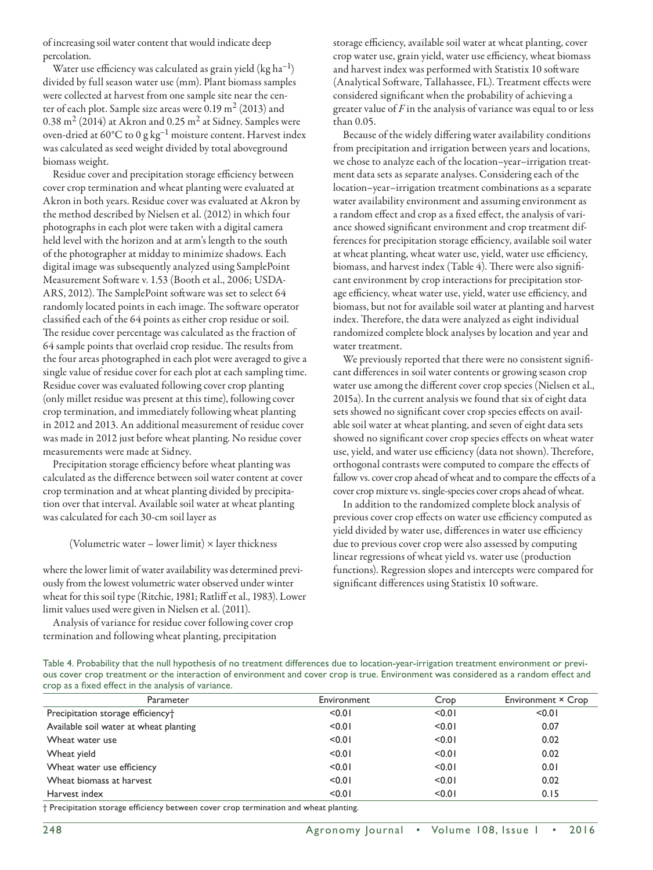of increasing soil water content that would indicate deep percolation.

Water use efficiency was calculated as grain yield  $(kg ha^{-1})$ divided by full season water use (mm). Plant biomass samples were collected at harvest from one sample site near the center of each plot. Sample size areas were 0.19  $\mathrm{m}^2$  (2013) and 0.38 m<sup>2</sup> (2014) at Akron and 0.25 m<sup>2</sup> at Sidney. Samples were oven-dried at  $60^{\circ}$ C to  $0 \text{ g kg}^{-1}$  moisture content. Harvest index was calculated as seed weight divided by total aboveground biomass weight.

Residue cover and precipitation storage efficiency between cover crop termination and wheat planting were evaluated at Akron in both years. Residue cover was evaluated at Akron by the method described by Nielsen et al. (2012) in which four photographs in each plot were taken with a digital camera held level with the horizon and at arm's length to the south of the photographer at midday to minimize shadows. Each digital image was subsequently analyzed using SamplePoint Measurement Software v. 1.53 (Booth et al., 2006; USDA-ARS, 2012). The SamplePoint software was set to select 64 randomly located points in each image. The software operator classified each of the 64 points as either crop residue or soil. The residue cover percentage was calculated as the fraction of 64 sample points that overlaid crop residue. The results from the four areas photographed in each plot were averaged to give a single value of residue cover for each plot at each sampling time. Residue cover was evaluated following cover crop planting (only millet residue was present at this time), following cover crop termination, and immediately following wheat planting in 2012 and 2013. An additional measurement of residue cover was made in 2012 just before wheat planting. No residue cover measurements were made at Sidney.

Precipitation storage efficiency before wheat planting was calculated as the difference between soil water content at cover crop termination and at wheat planting divided by precipitation over that interval. Available soil water at wheat planting was calculated for each 30-cm soil layer as

#### (Volumetric water – lower limit)  $\times$  layer thickness

where the lower limit of water availability was determined previously from the lowest volumetric water observed under winter wheat for this soil type (Ritchie, 1981; Ratliff et al., 1983). Lower limit values used were given in Nielsen et al. (2011).

Analysis of variance for residue cover following cover crop termination and following wheat planting, precipitation

storage efficiency, available soil water at wheat planting, cover crop water use, grain yield, water use efficiency, wheat biomass and harvest index was performed with Statistix 10 software (Analytical Software, Tallahassee, FL). Treatment effects were considered significant when the probability of achieving a greater value of *F* in the analysis of variance was equal to or less than 0.05.

Because of the widely differing water availability conditions from precipitation and irrigation between years and locations, we chose to analyze each of the location–year–irrigation treatment data sets as separate analyses. Considering each of the location–year–irrigation treatment combinations as a separate water availability environment and assuming environment as a random effect and crop as a fixed effect, the analysis of variance showed significant environment and crop treatment differences for precipitation storage efficiency, available soil water at wheat planting, wheat water use, yield, water use efficiency, biomass, and harvest index (Table 4). There were also significant environment by crop interactions for precipitation storage efficiency, wheat water use, yield, water use efficiency, and biomass, but not for available soil water at planting and harvest index. Therefore, the data were analyzed as eight individual randomized complete block analyses by location and year and water treatment.

We previously reported that there were no consistent significant differences in soil water contents or growing season crop water use among the different cover crop species (Nielsen et al., 2015a). In the current analysis we found that six of eight data sets showed no significant cover crop species effects on available soil water at wheat planting, and seven of eight data sets showed no significant cover crop species effects on wheat water use, yield, and water use efficiency (data not shown). Therefore, orthogonal contrasts were computed to compare the effects of fallow vs. cover crop ahead of wheat and to compare the effects of a cover crop mixture vs. single-species cover crops ahead of wheat.

In addition to the randomized complete block analysis of previous cover crop effects on water use efficiency computed as yield divided by water use, differences in water use efficiency due to previous cover crop were also assessed by computing linear regressions of wheat yield vs. water use (production functions). Regression slopes and intercepts were compared for significant differences using Statistix 10 software.

Table 4. Probability that the null hypothesis of no treatment differences due to location-year-irrigation treatment environment or previous cover crop treatment or the interaction of environment and cover crop is true. Environment was considered as a random effect and crop as a fixed effect in the analysis of variance.

| Parameter                                     | Environment | Crop   | Environment × Crop |
|-----------------------------------------------|-------------|--------|--------------------|
| Precipitation storage efficiency <sup>+</sup> | < 0.01      | < 0.01 | < 0.01             |
| Available soil water at wheat planting        | < 0.01      | < 0.01 | 0.07               |
| Wheat water use                               | < 0.01      | < 0.01 | 0.02               |
| Wheat yield                                   | < 0.01      | < 0.01 | 0.02               |
| Wheat water use efficiency                    | < 0.01      | < 0.01 | 0.01               |
| Wheat biomass at harvest                      | < 0.01      | < 0.01 | 0.02               |
| Harvest index                                 | < 0.01      | < 0.01 | 0.15               |

† Precipitation storage efficiency between cover crop termination and wheat planting.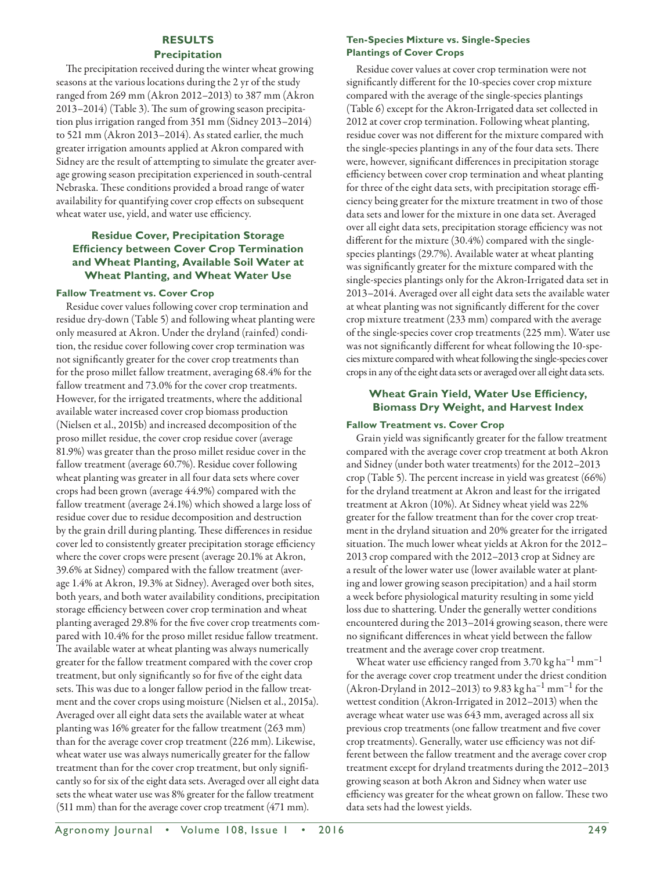# **RESULTS**

#### **Precipitation**

The precipitation received during the winter wheat growing seasons at the various locations during the 2 yr of the study ranged from 269 mm (Akron 2012–2013) to 387 mm (Akron 2013–2014) (Table 3). The sum of growing season precipitation plus irrigation ranged from 351 mm (Sidney 2013–2014) to 521 mm (Akron 2013–2014). As stated earlier, the much greater irrigation amounts applied at Akron compared with Sidney are the result of attempting to simulate the greater average growing season precipitation experienced in south-central Nebraska. These conditions provided a broad range of water availability for quantifying cover crop effects on subsequent wheat water use, yield, and water use efficiency.

# **Residue Cover, Precipitation Storage Efficiency between Cover Crop Termination and Wheat Planting, Available Soil Water at Wheat Planting, and Wheat Water Use**

#### **Fallow Treatment vs. Cover Crop**

Residue cover values following cover crop termination and residue dry-down (Table 5) and following wheat planting were only measured at Akron. Under the dryland (rainfed) condition, the residue cover following cover crop termination was not significantly greater for the cover crop treatments than for the proso millet fallow treatment, averaging 68.4% for the fallow treatment and 73.0% for the cover crop treatments. However, for the irrigated treatments, where the additional available water increased cover crop biomass production (Nielsen et al., 2015b) and increased decomposition of the proso millet residue, the cover crop residue cover (average 81.9%) was greater than the proso millet residue cover in the fallow treatment (average 60.7%). Residue cover following wheat planting was greater in all four data sets where cover crops had been grown (average 44.9%) compared with the fallow treatment (average 24.1%) which showed a large loss of residue cover due to residue decomposition and destruction by the grain drill during planting. These differences in residue cover led to consistently greater precipitation storage efficiency where the cover crops were present (average 20.1% at Akron, 39.6% at Sidney) compared with the fallow treatment (average 1.4% at Akron, 19.3% at Sidney). Averaged over both sites, both years, and both water availability conditions, precipitation storage efficiency between cover crop termination and wheat planting averaged 29.8% for the five cover crop treatments compared with 10.4% for the proso millet residue fallow treatment. The available water at wheat planting was always numerically greater for the fallow treatment compared with the cover crop treatment, but only significantly so for five of the eight data sets. This was due to a longer fallow period in the fallow treatment and the cover crops using moisture (Nielsen et al., 2015a). Averaged over all eight data sets the available water at wheat planting was 16% greater for the fallow treatment (263 mm) than for the average cover crop treatment (226 mm). Likewise, wheat water use was always numerically greater for the fallow treatment than for the cover crop treatment, but only significantly so for six of the eight data sets. Averaged over all eight data sets the wheat water use was 8% greater for the fallow treatment (511 mm) than for the average cover crop treatment (471 mm).

#### **Ten-Species Mixture vs. Single-Species Plantings of Cover Crops**

Residue cover values at cover crop termination were not significantly different for the 10-species cover crop mixture compared with the average of the single-species plantings (Table 6) except for the Akron-Irrigated data set collected in 2012 at cover crop termination. Following wheat planting, residue cover was not different for the mixture compared with the single-species plantings in any of the four data sets. There were, however, significant differences in precipitation storage efficiency between cover crop termination and wheat planting for three of the eight data sets, with precipitation storage efficiency being greater for the mixture treatment in two of those data sets and lower for the mixture in one data set. Averaged over all eight data sets, precipitation storage efficiency was not different for the mixture (30.4%) compared with the singlespecies plantings (29.7%). Available water at wheat planting was significantly greater for the mixture compared with the single-species plantings only for the Akron-Irrigated data set in 2013–2014. Averaged over all eight data sets the available water at wheat planting was not significantly different for the cover crop mixture treatment (233 mm) compared with the average of the single-species cover crop treatments (225 mm). Water use was not significantly different for wheat following the 10-species mixture compared with wheat following the single-species cover crops in any of the eight data sets or averaged over all eight data sets.

#### **Wheat Grain Yield, Water Use Efficiency, Biomass Dry Weight, and Harvest Index**

#### **Fallow Treatment vs. Cover Crop**

Grain yield was significantly greater for the fallow treatment compared with the average cover crop treatment at both Akron and Sidney (under both water treatments) for the 2012–2013 crop (Table 5). The percent increase in yield was greatest (66%) for the dryland treatment at Akron and least for the irrigated treatment at Akron (10%). At Sidney wheat yield was 22% greater for the fallow treatment than for the cover crop treatment in the dryland situation and 20% greater for the irrigated situation. The much lower wheat yields at Akron for the 2012– 2013 crop compared with the 2012–2013 crop at Sidney are a result of the lower water use (lower available water at planting and lower growing season precipitation) and a hail storm a week before physiological maturity resulting in some yield loss due to shattering. Under the generally wetter conditions encountered during the 2013–2014 growing season, there were no significant differences in wheat yield between the fallow treatment and the average cover crop treatment.

Wheat water use efficiency ranged from  $3.70 \text{ kg ha}^{-1}$  mm<sup>-1</sup> for the average cover crop treatment under the driest condition (Akron-Dryland in 2012–2013) to 9.83 kg ha<sup>-1</sup> mm<sup>-1</sup> for the wettest condition (Akron-Irrigated in 2012–2013) when the average wheat water use was 643 mm, averaged across all six previous crop treatments (one fallow treatment and five cover crop treatments). Generally, water use efficiency was not different between the fallow treatment and the average cover crop treatment except for dryland treatments during the 2012–2013 growing season at both Akron and Sidney when water use efficiency was greater for the wheat grown on fallow. These two data sets had the lowest yields.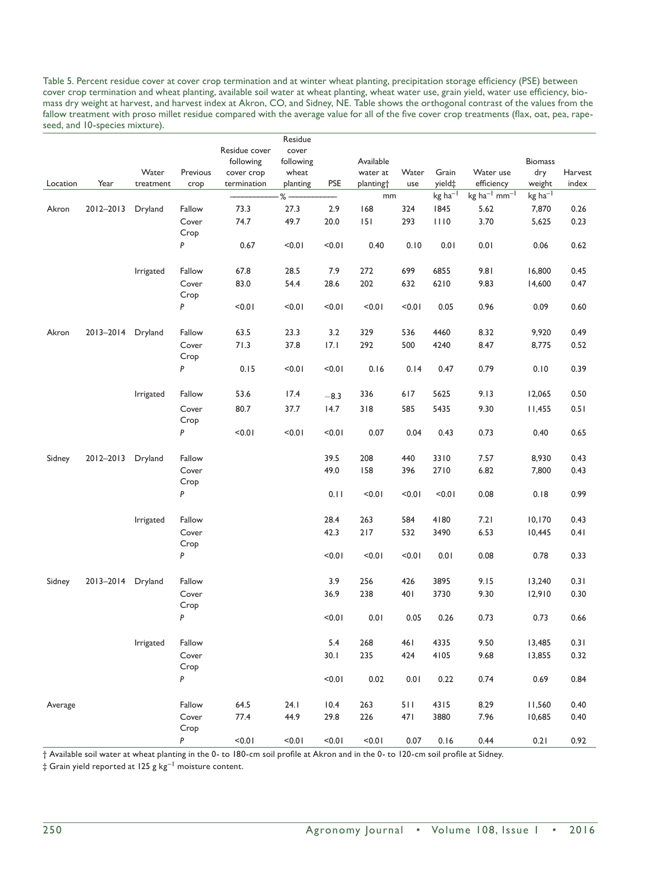Table 5. Percent residue cover at cover crop termination and at winter wheat planting, precipitation storage efficiency (PSE) between cover crop termination and wheat planting, available soil water at wheat planting, wheat water use, grain yield, water use efficiency, biomass dry weight at harvest, and harvest index at Akron, CO, and Sidney, NE. Table shows the orthogonal contrast of the values from the fallow treatment with proso millet residue compared with the average value for all of the five cover crop treatments (flax, oat, pea, rapeseed, and 10-species mixture).

| Location | Year      | Water<br>treatment | Previous<br>crop | Residue cover<br>following<br>cover crop<br>termination | Residue<br>cover<br>following<br>wheat<br>planting | <b>PSE</b> | Available<br>water at<br>planting <sup>+</sup> | Water<br>use | Grain<br>yield‡     | Water use<br>efficiency              | <b>Biomass</b><br>dry<br>weight | Harvest<br>index |
|----------|-----------|--------------------|------------------|---------------------------------------------------------|----------------------------------------------------|------------|------------------------------------------------|--------------|---------------------|--------------------------------------|---------------------------------|------------------|
|          |           |                    |                  |                                                         | $-% -$                                             |            | mm                                             |              | kg ha <sup>-1</sup> | kg ha <sup>-1</sup> mm <sup>-1</sup> | $kg$ ha <sup>-1</sup>           |                  |
| Akron    | 2012-2013 | Dryland            | Fallow           | 73.3                                                    | 27.3                                               | 2.9        | 168                                            | 324          | 1845                | 5.62                                 | 7,870                           | 0.26             |
|          |           |                    | Cover<br>Crop    | 74.7                                                    | 49.7                                               | 20.0       | 151                                            | 293          | 1110                | 3.70                                 | 5,625                           | 0.23             |
|          |           |                    | P                | 0.67                                                    | < 0.01                                             | < 0.01     | 0.40                                           | 0.10         | 0.01                | 0.01                                 | 0.06                            | 0.62             |
|          |           | Irrigated          | Fallow           | 67.8                                                    | 28.5                                               | 7.9        | 272                                            | 699          | 6855                | 9.81                                 | 16,800                          | 0.45             |
|          |           |                    | Cover<br>Crop    | 83.0                                                    | 54.4                                               | 28.6       | 202                                            | 632          | 6210                | 9.83                                 | 14,600                          | 0.47             |
|          |           |                    | P                | < 0.01                                                  | 10.01                                              | < 0.01     | < 0.01                                         | < 0.01       | 0.05                | 0.96                                 | 0.09                            | 0.60             |
| Akron    | 2013-2014 | Dryland            | Fallow           | 63.5                                                    | 23.3                                               | 3.2        | 329                                            | 536          | 4460                | 8.32                                 | 9,920                           | 0.49             |
|          |           |                    | Cover<br>Crop    | 71.3                                                    | 37.8                                               | 17.1       | 292                                            | 500          | 4240                | 8.47                                 | 8,775                           | 0.52             |
|          |           |                    | P                | 0.15                                                    | < 0.01                                             | < 0.01     | 0.16                                           | 0.14         | 0.47                | 0.79                                 | 0.10                            | 0.39             |
|          |           | Irrigated          | Fallow           | 53.6                                                    | 17.4                                               | $-8.3$     | 336                                            | 617          | 5625                | 9.13                                 | 12,065                          | 0.50             |
|          |           |                    | Cover<br>Crop    | 80.7                                                    | 37.7                                               | 14.7       | 318                                            | 585          | 5435                | 9.30                                 | 11,455                          | 0.51             |
|          |           |                    | P                | 10.01                                                   | 10.0                                               | < 0.01     | 0.07                                           | 0.04         | 0.43                | 0.73                                 | 0.40                            | 0.65             |
| Sidney   | 2012-2013 | Dryland            | Fallow           |                                                         |                                                    | 39.5       | 208                                            | 440          | 3310                | 7.57                                 | 8,930                           | 0.43             |
|          |           |                    | Cover<br>Crop    |                                                         |                                                    | 49.0       | 158                                            | 396          | 2710                | 6.82                                 | 7,800                           | 0.43             |
|          |           |                    | P                |                                                         |                                                    | 0.11       | < 0.01                                         | < 0.01       | < 0.01              | 0.08                                 | 0.18                            | 0.99             |
|          |           | Irrigated          | Fallow           |                                                         |                                                    | 28.4       | 263                                            | 584          | 4180                | 7.21                                 | 10, 170                         | 0.43             |
|          |           |                    | Cover<br>Crop    |                                                         |                                                    | 42.3       | 217                                            | 532          | 3490                | 6.53                                 | 10,445                          | 0.41             |
|          |           |                    | P                |                                                         |                                                    | < 0.01     | < 0.01                                         | < 0.01       | 0.01                | 0.08                                 | 0.78                            | 0.33             |
| Sidney   | 2013-2014 | Dryland            | Fallow           |                                                         |                                                    | 3.9        | 256                                            | 426          | 3895                | 9.15                                 | 13,240                          | 0.31             |
|          |           |                    | Cover<br>Crop    |                                                         |                                                    | 36.9       | 238                                            | 401          | 3730                | 9.30                                 | 12,910                          | 0.30             |
|          |           |                    | P                |                                                         |                                                    | 10.01      | 0.01                                           | 0.05         | 0.26                | 0.73                                 | 0.73                            | 0.66             |
|          |           | Irrigated          | Fallow           |                                                         |                                                    | 5.4        | 268                                            | 461          | 4335                | 9.50                                 | 13,485                          | 0.31             |
|          |           |                    | Cover<br>Crop    |                                                         |                                                    | 30.1       | 235                                            | 424          | 4105                | 9.68                                 | 13,855                          | 0.32             |
|          |           |                    | P                |                                                         |                                                    | 10.01      | 0.02                                           | 0.01         | 0.22                | 0.74                                 | 0.69                            | 0.84             |
| Average  |           |                    | Fallow           | 64.5                                                    | 24.1                                               | 10.4       | 263                                            | 511          | 4315                | 8.29                                 | 11,560                          | 0.40             |
|          |           |                    | Cover<br>Crop    | 77.4                                                    | 44.9                                               | 29.8       | 226                                            | 471          | 3880                | 7.96                                 | 10,685                          | 0.40             |
|          |           |                    | P                | 10.0                                                    | 10.0                                               | 10.01      | 10.0                                           | 0.07         | 0.16                | 0.44                                 | 0.21                            | 0.92             |

† Available soil water at wheat planting in the 0- to 180-cm soil profile at Akron and in the 0- to 120-cm soil profile at Sidney.

‡ Grain yield reported at 125 g kg–1 moisture content.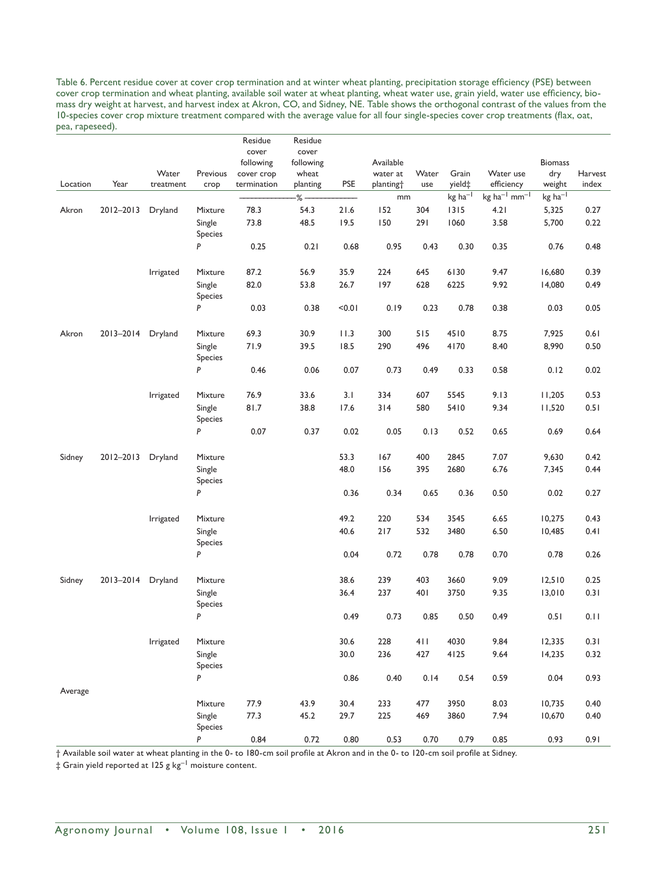Table 6. Percent residue cover at cover crop termination and at winter wheat planting, precipitation storage efficiency (PSE) between cover crop termination and wheat planting, available soil water at wheat planting, wheat water use, grain yield, water use efficiency, biomass dry weight at harvest, and harvest index at Akron, CO, and Sidney, NE. Table shows the orthogonal contrast of the values from the 10-species cover crop mixture treatment compared with the average value for all four single-species cover crop treatments (flax, oat, pea, rapeseed).

|          |           | Water     | Previous                 | Residue<br>cover<br>following<br>cover crop | Residue<br>cover<br>following<br>wheat |            | Available<br>water at | Water | Grain                 | Water use                              | <b>Biomass</b><br>dry | Harvest |
|----------|-----------|-----------|--------------------------|---------------------------------------------|----------------------------------------|------------|-----------------------|-------|-----------------------|----------------------------------------|-----------------------|---------|
| Location | Year      | treatment | crop                     | termination                                 | planting                               | <b>PSE</b> | planting <sup>+</sup> | use   | yield‡                | efficiency                             | weight                | index   |
|          |           |           |                          |                                             | $-26 -$                                |            | mm                    |       | $kg$ ha <sup>-1</sup> | $kg$ ha <sup>-1</sup> mm <sup>-1</sup> | kg ha <sup>-1</sup>   |         |
| Akron    | 2012-2013 | Dryland   | Mixture                  | 78.3                                        | 54.3                                   | 21.6       | 152                   | 304   | 1315                  | 4.21                                   | 5,325                 | 0.27    |
|          |           |           | Single<br><b>Species</b> | 73.8                                        | 48.5                                   | 19.5       | 150                   | 291   | 1060                  | 3.58                                   | 5,700                 | 0.22    |
|          |           |           | P                        | 0.25                                        | 0.21                                   | 0.68       | 0.95                  | 0.43  | 0.30                  | 0.35                                   | 0.76                  | 0.48    |
|          |           | Irrigated | Mixture                  | 87.2                                        | 56.9                                   | 35.9       | 224                   | 645   | 6130                  | 9.47                                   | 16,680                | 0.39    |
|          |           |           | Single<br>Species        | 82.0                                        | 53.8                                   | 26.7       | 197                   | 628   | 6225                  | 9.92                                   | 14,080                | 0.49    |
|          |           |           | P                        | 0.03                                        | 0.38                                   | < 0.01     | 0.19                  | 0.23  | 0.78                  | 0.38                                   | 0.03                  | 0.05    |
| Akron    | 2013-2014 | Dryland   | Mixture                  | 69.3                                        | 30.9                                   | 11.3       | 300                   | 515   | 4510                  | 8.75                                   | 7,925                 | 0.61    |
|          |           |           | Single<br>Species        | 71.9                                        | 39.5                                   | 18.5       | 290                   | 496   | 4170                  | 8.40                                   | 8,990                 | 0.50    |
|          |           |           | P                        | 0.46                                        | 0.06                                   | 0.07       | 0.73                  | 0.49  | 0.33                  | 0.58                                   | 0.12                  | 0.02    |
|          |           | Irrigated | Mixture                  | 76.9                                        | 33.6                                   | 3.1        | 334                   | 607   | 5545                  | 9.13                                   | 11,205                | 0.53    |
|          |           |           | Single<br><b>Species</b> | 81.7                                        | 38.8                                   | 17.6       | 314                   | 580   | 5410                  | 9.34                                   | 11,520                | 0.51    |
|          |           |           | P                        | 0.07                                        | 0.37                                   | 0.02       | 0.05                  | 0.13  | 0.52                  | 0.65                                   | 0.69                  | 0.64    |
| Sidney   | 2012-2013 | Dryland   | Mixture                  |                                             |                                        | 53.3       | 167                   | 400   | 2845                  | 7.07                                   | 9,630                 | 0.42    |
|          |           |           | Single<br><b>Species</b> |                                             |                                        | 48.0       | 156                   | 395   | 2680                  | 6.76                                   | 7,345                 | 0.44    |
|          |           |           | P                        |                                             |                                        | 0.36       | 0.34                  | 0.65  | 0.36                  | 0.50                                   | 0.02                  | 0.27    |
|          |           | Irrigated | Mixture                  |                                             |                                        | 49.2       | 220                   | 534   | 3545                  | 6.65                                   | 10,275                | 0.43    |
|          |           |           | Single<br><b>Species</b> |                                             |                                        | 40.6       | $217$                 | 532   | 3480                  | 6.50                                   | 10,485                | 0.41    |
|          |           |           | P                        |                                             |                                        | 0.04       | 0.72                  | 0.78  | 0.78                  | 0.70                                   | 0.78                  | 0.26    |
| Sidney   | 2013-2014 | Dryland   | Mixture                  |                                             |                                        | 38.6       | 239                   | 403   | 3660                  | 9.09                                   | 12,510                | 0.25    |
|          |           |           | Single<br>Species        |                                             |                                        | 36.4       | 237                   | 401   | 3750                  | 9.35                                   | 13,010                | 0.31    |
|          |           |           | P                        |                                             |                                        | 0.49       | 0.73                  | 0.85  | 0.50                  | 0.49                                   | 0.51                  | 0.11    |
|          |           | Irrigated | Mixture                  |                                             |                                        | 30.6       | 228                   | 411   | 4030                  | 9.84                                   | 12,335                | 0.31    |
|          |           |           | Single<br>Species        |                                             |                                        | 30.0       | 236                   | 427   | 4125                  | 9.64                                   | 14,235                | 0.32    |
| Average  |           |           | P                        |                                             |                                        | 0.86       | 0.40                  | 0.14  | 0.54                  | 0.59                                   | 0.04                  | 0.93    |
|          |           |           | Mixture                  | 77.9                                        | 43.9                                   | 30.4       | 233                   | 477   | 3950                  | 8.03                                   | 10,735                | 0.40    |
|          |           |           | Single<br>Species        | 77.3                                        | 45.2                                   | 29.7       | 225                   | 469   | 3860                  | 7.94                                   | 10,670                | 0.40    |
|          |           |           | P                        | 0.84                                        | 0.72                                   | 0.80       | 0.53                  | 0.70  | 0.79                  | 0.85                                   | 0.93                  | 0.91    |

† Available soil water at wheat planting in the 0- to 180-cm soil profile at Akron and in the 0- to 120-cm soil profile at Sidney.

‡ Grain yield reported at 125 g kg–1 moisture content.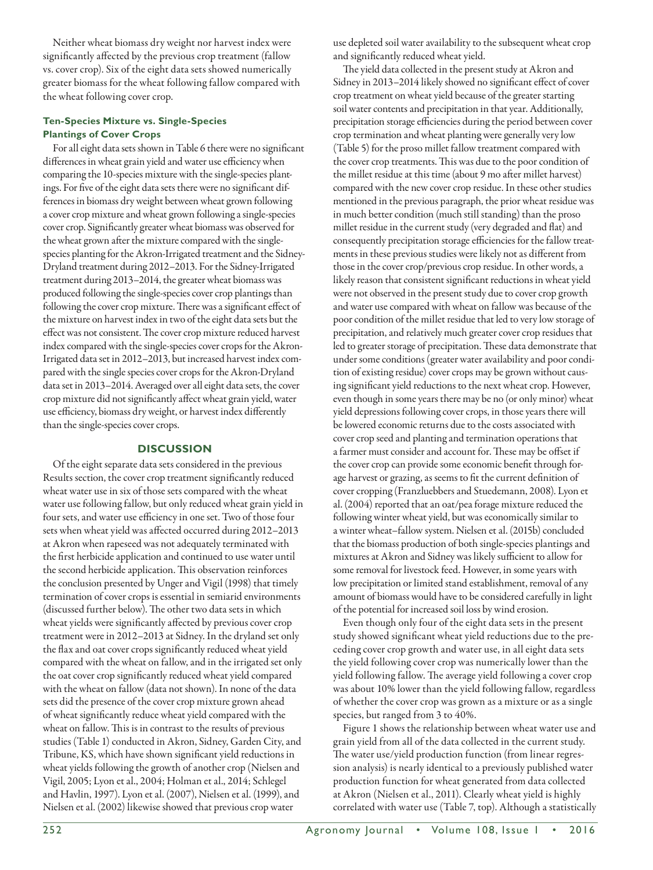Neither wheat biomass dry weight nor harvest index were significantly affected by the previous crop treatment (fallow vs. cover crop). Six of the eight data sets showed numerically greater biomass for the wheat following fallow compared with the wheat following cover crop.

# **Ten-Species Mixture vs. Single-Species Plantings of Cover Crops**

For all eight data sets shown in Table 6 there were no significant differences in wheat grain yield and water use efficiency when comparing the 10-species mixture with the single-species plantings. For five of the eight data sets there were no significant differences in biomass dry weight between wheat grown following a cover crop mixture and wheat grown following a single-species cover crop. Significantly greater wheat biomass was observed for the wheat grown after the mixture compared with the singlespecies planting for the Akron-Irrigated treatment and the Sidney-Dryland treatment during 2012–2013. For the Sidney-Irrigated treatment during 2013–2014, the greater wheat biomass was produced following the single-species cover crop plantings than following the cover crop mixture. There was a significant effect of the mixture on harvest index in two of the eight data sets but the effect was not consistent. The cover crop mixture reduced harvest index compared with the single-species cover crops for the Akron-Irrigated data set in 2012–2013, but increased harvest index compared with the single species cover crops for the Akron-Dryland data set in 2013–2014. Averaged over all eight data sets, the cover crop mixture did not significantly affect wheat grain yield, water use efficiency, biomass dry weight, or harvest index differently than the single-species cover crops.

# **Discussion**

Of the eight separate data sets considered in the previous Results section, the cover crop treatment significantly reduced wheat water use in six of those sets compared with the wheat water use following fallow, but only reduced wheat grain yield in four sets, and water use efficiency in one set. Two of those four sets when wheat yield was affected occurred during 2012–2013 at Akron when rapeseed was not adequately terminated with the first herbicide application and continued to use water until the second herbicide application. This observation reinforces the conclusion presented by Unger and Vigil (1998) that timely termination of cover crops is essential in semiarid environments (discussed further below). The other two data sets in which wheat yields were significantly affected by previous cover crop treatment were in 2012–2013 at Sidney. In the dryland set only the flax and oat cover crops significantly reduced wheat yield compared with the wheat on fallow, and in the irrigated set only the oat cover crop significantly reduced wheat yield compared with the wheat on fallow (data not shown). In none of the data sets did the presence of the cover crop mixture grown ahead of wheat significantly reduce wheat yield compared with the wheat on fallow. This is in contrast to the results of previous studies (Table 1) conducted in Akron, Sidney, Garden City, and Tribune, KS, which have shown significant yield reductions in wheat yields following the growth of another crop (Nielsen and Vigil, 2005; Lyon et al., 2004; Holman et al., 2014; Schlegel and Havlin, 1997). Lyon et al. (2007), Nielsen et al. (1999), and Nielsen et al. (2002) likewise showed that previous crop water

use depleted soil water availability to the subsequent wheat crop and significantly reduced wheat yield.

The yield data collected in the present study at Akron and Sidney in 2013–2014 likely showed no significant effect of cover crop treatment on wheat yield because of the greater starting soil water contents and precipitation in that year. Additionally, precipitation storage efficiencies during the period between cover crop termination and wheat planting were generally very low (Table 5) for the proso millet fallow treatment compared with the cover crop treatments. This was due to the poor condition of the millet residue at this time (about 9 mo after millet harvest) compared with the new cover crop residue. In these other studies mentioned in the previous paragraph, the prior wheat residue was in much better condition (much still standing) than the proso millet residue in the current study (very degraded and flat) and consequently precipitation storage efficiencies for the fallow treatments in these previous studies were likely not as different from those in the cover crop/previous crop residue. In other words, a likely reason that consistent significant reductions in wheat yield were not observed in the present study due to cover crop growth and water use compared with wheat on fallow was because of the poor condition of the millet residue that led to very low storage of precipitation, and relatively much greater cover crop residues that led to greater storage of precipitation. These data demonstrate that under some conditions (greater water availability and poor condition of existing residue) cover crops may be grown without causing significant yield reductions to the next wheat crop. However, even though in some years there may be no (or only minor) wheat yield depressions following cover crops, in those years there will be lowered economic returns due to the costs associated with cover crop seed and planting and termination operations that a farmer must consider and account for. These may be offset if the cover crop can provide some economic benefit through forage harvest or grazing, as seems to fit the current definition of cover cropping (Franzluebbers and Stuedemann, 2008). Lyon et al. (2004) reported that an oat/pea forage mixture reduced the following winter wheat yield, but was economically similar to a winter wheat–fallow system. Nielsen et al. (2015b) concluded that the biomass production of both single-species plantings and mixtures at Akron and Sidney was likely sufficient to allow for some removal for livestock feed. However, in some years with low precipitation or limited stand establishment, removal of any amount of biomass would have to be considered carefully in light of the potential for increased soil loss by wind erosion.

Even though only four of the eight data sets in the present study showed significant wheat yield reductions due to the preceding cover crop growth and water use, in all eight data sets the yield following cover crop was numerically lower than the yield following fallow. The average yield following a cover crop was about 10% lower than the yield following fallow, regardless of whether the cover crop was grown as a mixture or as a single species, but ranged from 3 to 40%.

Figure 1 shows the relationship between wheat water use and grain yield from all of the data collected in the current study. The water use/yield production function (from linear regression analysis) is nearly identical to a previously published water production function for wheat generated from data collected at Akron (Nielsen et al., 2011). Clearly wheat yield is highly correlated with water use (Table 7, top). Although a statistically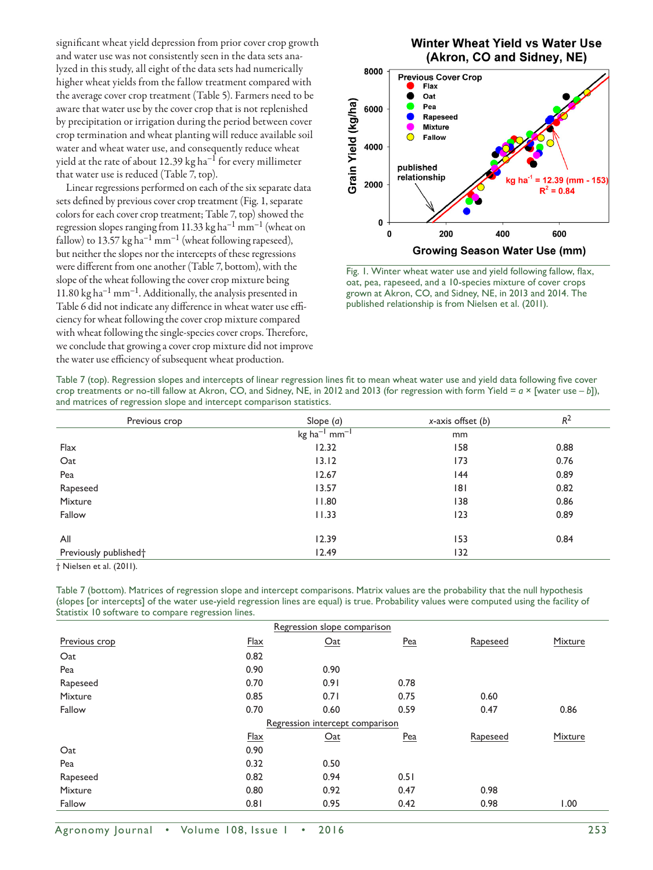significant wheat yield depression from prior cover crop growth and water use was not consistently seen in the data sets analyzed in this study, all eight of the data sets had numerically higher wheat yields from the fallow treatment compared with the average cover crop treatment (Table 5). Farmers need to be aware that water use by the cover crop that is not replenished by precipitation or irrigation during the period between cover crop termination and wheat planting will reduce available soil water and wheat water use, and consequently reduce wheat yield at the rate of about 12.39 kg ha<sup>-1</sup> for every millimeter that water use is reduced (Table 7, top).

Linear regressions performed on each of the six separate data sets defined by previous cover crop treatment (Fig. 1, separate colors for each cover crop treatment; Table 7, top) showed the regression slopes ranging from 11.33 kg ha<sup>-1</sup> mm<sup>-1</sup> (wheat on fallow) to 13.57 kg ha<sup>-1</sup> mm<sup>-1</sup> (wheat following rapeseed), but neither the slopes nor the intercepts of these regressions were different from one another (Table 7, bottom), with the slope of the wheat following the cover crop mixture being  $11.80 \text{ kg} \text{ ha}^{-1} \text{ mm}^{-1}$ . Additionally, the analysis presented in Table 6 did not indicate any difference in wheat water use efficiency for wheat following the cover crop mixture compared with wheat following the single-species cover crops. Therefore, we conclude that growing a cover crop mixture did not improve the water use efficiency of subsequent wheat production.

# Winter Wheat Yield vs Water Use (Akron, CO and Sidney, NE)



Fig. 1. Winter wheat water use and yield following fallow, flax, oat, pea, rapeseed, and a 10-species mixture of cover crops grown at Akron, CO, and Sidney, NE, in 2013 and 2014. The published relationship is from Nielsen et al. (2011).

| Table 7 (top). Regression slopes and intercepts of linear regression lines fit to mean wheat water use and yield data following five cover      |
|-------------------------------------------------------------------------------------------------------------------------------------------------|
| crop treatments or no-till fallow at Akron, CO, and Sidney, NE, in 2012 and 2013 (for regression with form Yield = $a \times$ [water use – b]), |
| and matrices of regression slope and intercept comparison statistics.                                                                           |

| Previous crop                     | Slope $(a)$                            | $x$ -axis offset $(b)$ | R <sup>2</sup> |
|-----------------------------------|----------------------------------------|------------------------|----------------|
|                                   | $kg$ ha <sup>-1</sup> mm <sup>-1</sup> | mm                     |                |
| Flax                              | 12.32                                  | 158                    | 0.88           |
| Oat                               | 13.12                                  | 173                    | 0.76           |
| Pea                               | 12.67                                  | 44                     | 0.89           |
| Rapeseed                          | 13.57                                  | 8                      | 0.82           |
| Mixture                           | 11.80                                  | 138                    | 0.86           |
| Fallow                            | 11.33                                  | 123                    | 0.89           |
| All                               | 12.39                                  | 153                    | 0.84           |
| Previously published <sup>+</sup> | 12.49                                  | 132                    |                |

† Nielsen et al. (2011).

Table 7 (bottom). Matrices of regression slope and intercept comparisons. Matrix values are the probability that the null hypothesis (slopes [or intercepts] of the water use-yield regression lines are equal) is true. Probability values were computed using the facility of Statistix 10 software to compare regression lines.

| Regression slope comparison     |             |      |      |          |         |  |  |  |  |  |
|---------------------------------|-------------|------|------|----------|---------|--|--|--|--|--|
| Previous crop                   | Flax        | Qat  | Pea  | Rapeseed | Mixture |  |  |  |  |  |
| Oat                             | 0.82        |      |      |          |         |  |  |  |  |  |
| Pea                             | 0.90        | 0.90 |      |          |         |  |  |  |  |  |
| Rapeseed                        | 0.70        | 0.91 | 0.78 |          |         |  |  |  |  |  |
| Mixture                         | 0.85        | 0.71 | 0.75 | 0.60     |         |  |  |  |  |  |
| Fallow                          | 0.70        | 0.60 | 0.59 | 0.47     | 0.86    |  |  |  |  |  |
| Regression intercept comparison |             |      |      |          |         |  |  |  |  |  |
|                                 | <b>Flax</b> | Qat  | Pea  | Rapeseed | Mixture |  |  |  |  |  |
| Oat                             | 0.90        |      |      |          |         |  |  |  |  |  |
| Pea                             | 0.32        | 0.50 |      |          |         |  |  |  |  |  |
| Rapeseed                        | 0.82        | 0.94 | 0.51 |          |         |  |  |  |  |  |
| Mixture                         | 0.80        | 0.92 | 0.47 | 0.98     |         |  |  |  |  |  |
| Fallow                          | 0.81        | 0.95 | 0.42 | 0.98     | 1.00    |  |  |  |  |  |
|                                 |             |      |      |          |         |  |  |  |  |  |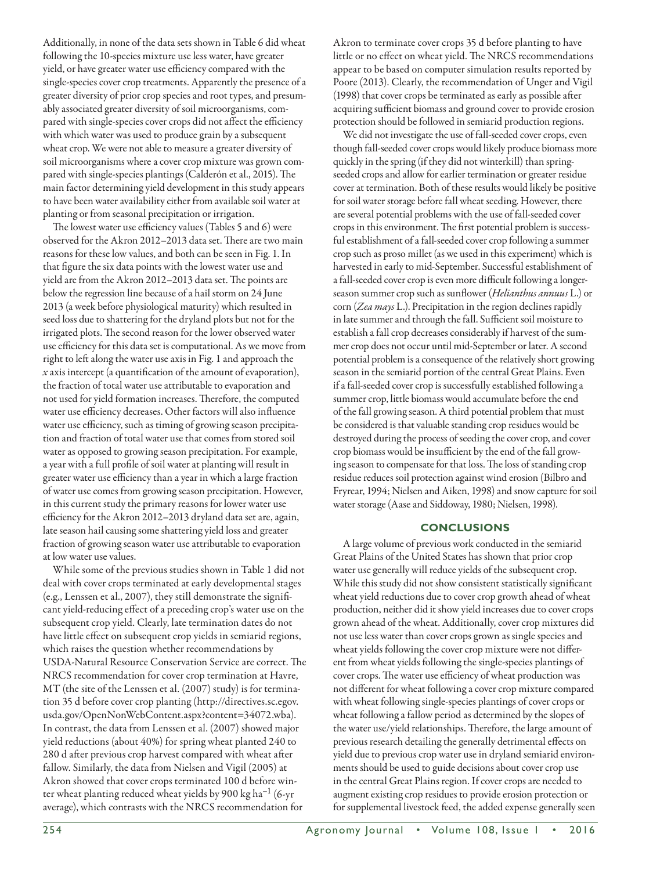Additionally, in none of the data sets shown in Table 6 did wheat following the 10-species mixture use less water, have greater yield, or have greater water use efficiency compared with the single-species cover crop treatments. Apparently the presence of a greater diversity of prior crop species and root types, and presumably associated greater diversity of soil microorganisms, compared with single-species cover crops did not affect the efficiency with which water was used to produce grain by a subsequent wheat crop. We were not able to measure a greater diversity of soil microorganisms where a cover crop mixture was grown compared with single-species plantings (Calderón et al., 2015). The main factor determining yield development in this study appears to have been water availability either from available soil water at planting or from seasonal precipitation or irrigation.

The lowest water use efficiency values (Tables 5 and 6) were observed for the Akron 2012–2013 data set. There are two main reasons for these low values, and both can be seen in Fig. 1. In that figure the six data points with the lowest water use and yield are from the Akron 2012–2013 data set. The points are below the regression line because of a hail storm on 24 June 2013 (a week before physiological maturity) which resulted in seed loss due to shattering for the dryland plots but not for the irrigated plots. The second reason for the lower observed water use efficiency for this data set is computational. As we move from right to left along the water use axis in Fig. 1 and approach the *x* axis intercept (a quantification of the amount of evaporation), the fraction of total water use attributable to evaporation and not used for yield formation increases. Therefore, the computed water use efficiency decreases. Other factors will also influence water use efficiency, such as timing of growing season precipitation and fraction of total water use that comes from stored soil water as opposed to growing season precipitation. For example, a year with a full profile of soil water at planting will result in greater water use efficiency than a year in which a large fraction of water use comes from growing season precipitation. However, in this current study the primary reasons for lower water use efficiency for the Akron 2012–2013 dryland data set are, again, late season hail causing some shattering yield loss and greater fraction of growing season water use attributable to evaporation at low water use values.

While some of the previous studies shown in Table 1 did not deal with cover crops terminated at early developmental stages (e.g., Lenssen et al., 2007), they still demonstrate the significant yield-reducing effect of a preceding crop's water use on the subsequent crop yield. Clearly, late termination dates do not have little effect on subsequent crop yields in semiarid regions, which raises the question whether recommendations by USDA-Natural Resource Conservation Service are correct. The NRCS recommendation for cover crop termination at Havre, MT (the site of the Lenssen et al. (2007) study) is for termination 35 d before cover crop planting (http://directives.sc.egov. usda.gov/OpenNonWebContent.aspx?content=34072.wba). In contrast, the data from Lenssen et al. (2007) showed major yield reductions (about 40%) for spring wheat planted 240 to 280 d after previous crop harvest compared with wheat after fallow. Similarly, the data from Nielsen and Vigil (2005) at Akron showed that cover crops terminated 100 d before winter wheat planting reduced wheat yields by 900 kg ha<sup>-1</sup> (6-yr average), which contrasts with the NRCS recommendation for

Akron to terminate cover crops 35 d before planting to have little or no effect on wheat yield. The NRCS recommendations appear to be based on computer simulation results reported by Poore (2013). Clearly, the recommendation of Unger and Vigil (1998) that cover crops be terminated as early as possible after acquiring sufficient biomass and ground cover to provide erosion protection should be followed in semiarid production regions.

We did not investigate the use of fall-seeded cover crops, even though fall-seeded cover crops would likely produce biomass more quickly in the spring (if they did not winterkill) than springseeded crops and allow for earlier termination or greater residue cover at termination. Both of these results would likely be positive for soil water storage before fall wheat seeding. However, there are several potential problems with the use of fall-seeded cover crops in this environment. The first potential problem is successful establishment of a fall-seeded cover crop following a summer crop such as proso millet (as we used in this experiment) which is harvested in early to mid-September. Successful establishment of a fall-seeded cover crop is even more difficult following a longerseason summer crop such as sunflower (*Helianthus annuus* L.) or corn (*Zea mays* L.). Precipitation in the region declines rapidly in late summer and through the fall. Sufficient soil moisture to establish a fall crop decreases considerably if harvest of the summer crop does not occur until mid-September or later. A second potential problem is a consequence of the relatively short growing season in the semiarid portion of the central Great Plains. Even if a fall-seeded cover crop is successfully established following a summer crop, little biomass would accumulate before the end of the fall growing season. A third potential problem that must be considered is that valuable standing crop residues would be destroyed during the process of seeding the cover crop, and cover crop biomass would be insufficient by the end of the fall growing season to compensate for that loss. The loss of standing crop residue reduces soil protection against wind erosion (Bilbro and Fryrear, 1994; Nielsen and Aiken, 1998) and snow capture for soil water storage (Aase and Siddoway, 1980; Nielsen, 1998).

# **CONCLUSIONS**

A large volume of previous work conducted in the semiarid Great Plains of the United States has shown that prior crop water use generally will reduce yields of the subsequent crop. While this study did not show consistent statistically significant wheat yield reductions due to cover crop growth ahead of wheat production, neither did it show yield increases due to cover crops grown ahead of the wheat. Additionally, cover crop mixtures did not use less water than cover crops grown as single species and wheat yields following the cover crop mixture were not different from wheat yields following the single-species plantings of cover crops. The water use efficiency of wheat production was not different for wheat following a cover crop mixture compared with wheat following single-species plantings of cover crops or wheat following a fallow period as determined by the slopes of the water use/yield relationships. Therefore, the large amount of previous research detailing the generally detrimental effects on yield due to previous crop water use in dryland semiarid environments should be used to guide decisions about cover crop use in the central Great Plains region. If cover crops are needed to augment existing crop residues to provide erosion protection or for supplemental livestock feed, the added expense generally seen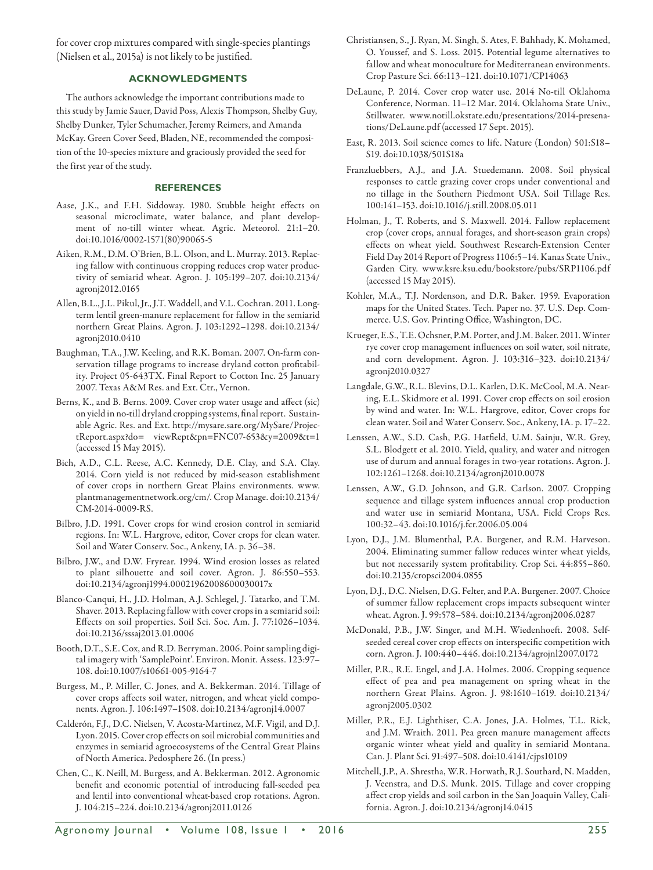for cover crop mixtures compared with single-species plantings (Nielsen et al., 2015a) is not likely to be justified.

#### **ACKNOWLEDGMENTS**

The authors acknowledge the important contributions made to this study by Jamie Sauer, David Poss, Alexis Thompson, Shelby Guy, Shelby Dunker, Tyler Schumacher, Jeremy Reimers, and Amanda McKay. Green Cover Seed, Bladen, NE, recommended the composition of the 10-species mixture and graciously provided the seed for the first year of the study.

#### **References**

- Aase, J.K., and F.H. Siddoway. 1980. Stubble height effects on seasonal microclimate, water balance, and plant development of no-till winter wheat. Agric. Meteorol. 21:1–20. doi:10.1016/0002-1571(80)90065-5
- Aiken, R.M., D.M. O'Brien, B.L. Olson, and L. Murray. 2013. Replacing fallow with continuous cropping reduces crop water productivity of semiarid wheat. Agron. J. 105:199–207. doi:10.2134/ agronj2012.0165
- Allen, B.L., J.L. Pikul, Jr., J.T. Waddell, and V.L. Cochran. 2011. Longterm lentil green-manure replacement for fallow in the semiarid northern Great Plains. Agron. J. 103:1292–1298. doi:10.2134/ agronj2010.0410
- Baughman, T.A., J.W. Keeling, and R.K. Boman. 2007. On-farm conservation tillage programs to increase dryland cotton profitability. Project 05-643TX. Final Report to Cotton Inc. 25 January 2007. Texas A&M Res. and Ext. Ctr., Vernon.
- Berns, K., and B. Berns. 2009. Cover crop water usage and affect (sic) on yield in no-till dryland cropping systems, final report. Sustainable Agric. Res. and Ext. http://mysare.sare.org/MySare/ProjectReport.aspx?do= viewRept&pn=FNC07-653&y=2009&t=1 (accessed 15 May 2015).
- Bich, A.D., C.L. Reese, A.C. Kennedy, D.E. Clay, and S.A. Clay. 2014. Corn yield is not reduced by mid-season establishment of cover crops in northern Great Plains environments. www. plantmanagementnetwork.org/cm/. Crop Manage. doi:10.2134/ CM-2014-0009-RS.
- Bilbro, J.D. 1991. Cover crops for wind erosion control in semiarid regions. In: W.L. Hargrove, editor, Cover crops for clean water. Soil and Water Conserv. Soc., Ankeny, IA. p. 36–38.
- Bilbro, J.W., and D.W. Fryrear. 1994. Wind erosion losses as related to plant silhouette and soil cover. Agron. J. 86:550–553. doi:10.2134/agronj1994.00021962008600030017x
- Blanco-Canqui, H., J.D. Holman, A.J. Schlegel, J. Tatarko, and T.M. Shaver. 2013. Replacing fallow with cover crops in a semiarid soil: Effects on soil properties. Soil Sci. Soc. Am. J. 77:1026–1034. doi:10.2136/sssaj2013.01.0006
- Booth, D.T., S.E. Cox, and R.D. Berryman. 2006. Point sampling digital imagery with 'SamplePoint'. Environ. Monit. Assess. 123:97– 108. doi:10.1007/s10661-005-9164-7
- Burgess, M., P. Miller, C. Jones, and A. Bekkerman. 2014. Tillage of cover crops affects soil water, nitrogen, and wheat yield components. Agron. J. 106:1497–1508. doi:10.2134/agronj14.0007
- Calderón, F.J., D.C. Nielsen, V. Acosta-Martinez, M.F. Vigil, and D.J. Lyon. 2015. Cover crop effects on soil microbial communities and enzymes in semiarid agroecosystems of the Central Great Plains of North America. Pedosphere 26. (In press.)
- Chen, C., K. Neill, M. Burgess, and A. Bekkerman. 2012. Agronomic benefit and economic potential of introducing fall-seeded pea and lentil into conventional wheat-based crop rotations. Agron. J. 104:215–224. doi:10.2134/agronj2011.0126
- Christiansen, S., J. Ryan, M. Singh, S. Ates, F. Bahhady, K. Mohamed, O. Youssef, and S. Loss. 2015. Potential legume alternatives to fallow and wheat monoculture for Mediterranean environments. Crop Pasture Sci. 66:113–121. doi:10.1071/CP14063
- DeLaune, P. 2014. Cover crop water use. 2014 No-till Oklahoma Conference, Norman. 11–12 Mar. 2014. Oklahoma State Univ., Stillwater. www.notill.okstate.edu/presentations/2014-presenations/DeLaune.pdf (accessed 17 Sept. 2015).
- East, R. 2013. Soil science comes to life. Nature (London) 501:S18– S19. doi:10.1038/501S18a
- Franzluebbers, A.J., and J.A. Stuedemann. 2008. Soil physical responses to cattle grazing cover crops under conventional and no tillage in the Southern Piedmont USA. Soil Tillage Res. 100:141–153. doi:10.1016/j.still.2008.05.011
- Holman, J., T. Roberts, and S. Maxwell. 2014. Fallow replacement crop (cover crops, annual forages, and short-season grain crops) effects on wheat yield. Southwest Research-Extension Center Field Day 2014 Report of Progress 1106:5–14. Kanas State Univ., Garden City. www.ksre.ksu.edu/bookstore/pubs/SRP1106.pdf (accessed 15 May 2015).
- Kohler, M.A., T.J. Nordenson, and D.R. Baker. 1959. Evaporation maps for the United States. Tech. Paper no. 37. U.S. Dep. Commerce. U.S. Gov. Printing Office, Washington, DC.
- Krueger, E.S., T.E. Ochsner, P.M. Porter, and J.M. Baker. 2011. Winter rye cover crop management influences on soil water, soil nitrate, and corn development. Agron. J. 103:316–323. doi:10.2134/ agronj2010.0327
- Langdale, G.W., R.L. Blevins, D.L. Karlen, D.K. McCool, M.A. Nearing, E.L. Skidmore et al. 1991. Cover crop effects on soil erosion by wind and water. In: W.L. Hargrove, editor, Cover crops for clean water. Soil and Water Conserv. Soc., Ankeny, IA. p. 17–22.
- Lenssen, A.W., S.D. Cash, P.G. Hatfield, U.M. Sainju, W.R. Grey, S.L. Blodgett et al. 2010. Yield, quality, and water and nitrogen use of durum and annual forages in two-year rotations. Agron. J. 102:1261–1268. doi:10.2134/agronj2010.0078
- Lenssen, A.W., G.D. Johnson, and G.R. Carlson. 2007. Cropping sequence and tillage system influences annual crop production and water use in semiarid Montana, USA. Field Crops Res. 100:32–43. doi:10.1016/j.fcr.2006.05.004
- Lyon, D.J., J.M. Blumenthal, P.A. Burgener, and R.M. Harveson. 2004. Eliminating summer fallow reduces winter wheat yields, but not necessarily system profitability. Crop Sci. 44:855–860. doi:10.2135/cropsci2004.0855
- Lyon, D.J., D.C. Nielsen, D.G. Felter, and P.A. Burgener. 2007. Choice of summer fallow replacement crops impacts subsequent winter wheat. Agron. J. 99:578–584. doi:10.2134/agronj2006.0287
- McDonald, P.B., J.W. Singer, and M.H. Wiedenhoeft. 2008. Selfseeded cereal cover crop effects on interspecific competition with corn. Agron. J. 100:440–446. doi:10.2134/agrojnl2007.0172
- Miller, P.R., R.E. Engel, and J.A. Holmes. 2006. Cropping sequence effect of pea and pea management on spring wheat in the northern Great Plains. Agron. J. 98:1610–1619. doi:10.2134/ agronj2005.0302
- Miller, P.R., E.J. Lighthiser, C.A. Jones, J.A. Holmes, T.L. Rick, and J.M. Wraith. 2011. Pea green manure management affects organic winter wheat yield and quality in semiarid Montana. Can. J. Plant Sci. 91:497–508. doi:10.4141/cjps10109
- Mitchell, J.P., A. Shrestha, W.R. Horwath, R.J. Southard, N. Madden, J. Veenstra, and D.S. Munk. 2015. Tillage and cover cropping affect crop yields and soil carbon in the San Joaquin Valley, California. Agron. J. doi:10.2134/agronj14.0415